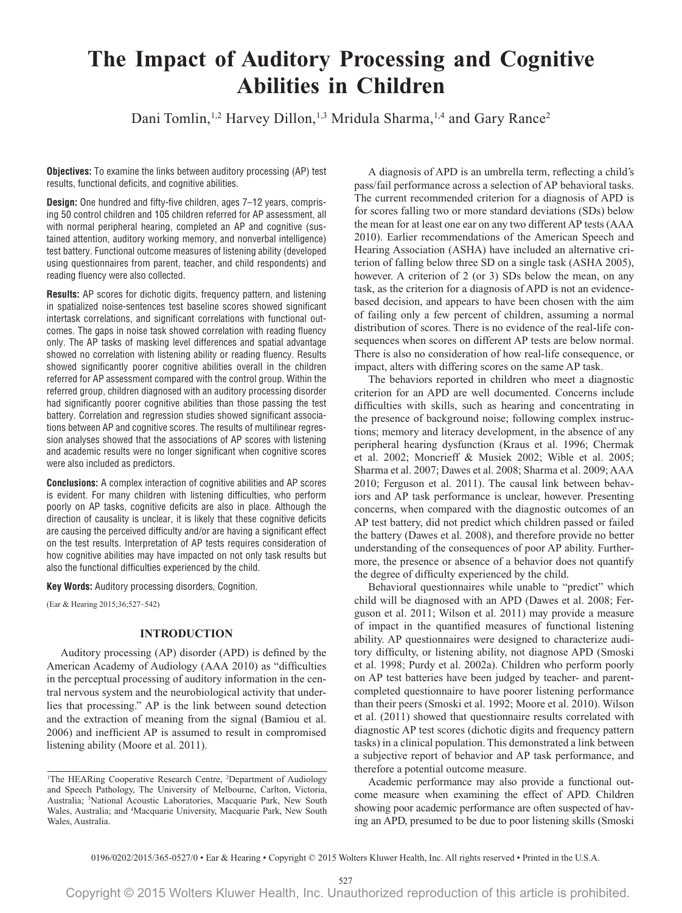# **The Impact of Auditory Processing and Cognitive Abilities in Children**

Dani Tomlin,<sup>1,2</sup> Harvey Dillon,<sup>1,3</sup> Mridula Sharma,<sup>1,4</sup> and Gary Rance<sup>2</sup>

**Objectives:** To examine the links between auditory processing (AP) test results, functional deficits, and cognitive abilities.

**Design:** One hundred and fifty-five children, ages 7–12 years, comprising 50 control children and 105 children referred for AP assessment, all with normal peripheral hearing, completed an AP and cognitive (sustained attention, auditory working memory, and nonverbal intelligence) test battery. Functional outcome measures of listening ability (developed using questionnaires from parent, teacher, and child respondents) and reading fluency were also collected.

**Results:** AP scores for dichotic digits, frequency pattern, and listening in spatialized noise-sentences test baseline scores showed significant intertask correlations, and significant correlations with functional outcomes. The gaps in noise task showed correlation with reading fluency only. The AP tasks of masking level differences and spatial advantage showed no correlation with listening ability or reading fluency. Results showed significantly poorer cognitive abilities overall in the children referred for AP assessment compared with the control group. Within the referred group, children diagnosed with an auditory processing disorder had significantly poorer cognitive abilities than those passing the test battery. Correlation and regression studies showed significant associations between AP and cognitive scores. The results of multilinear regression analyses showed that the associations of AP scores with listening and academic results were no longer significant when cognitive scores were also included as predictors.

**Conclusions:** A complex interaction of cognitive abilities and AP scores is evident. For many children with listening difficulties, who perform poorly on AP tasks, cognitive deficits are also in place. Although the direction of causality is unclear, it is likely that these cognitive deficits are causing the perceived difficulty and/or are having a significant effect on the test results. Interpretation of AP tests requires consideration of how cognitive abilities may have impacted on not only task results but also the functional difficulties experienced by the child.

**Key Words:** Auditory processing disorders, Cognition.

(Ear & Hearing 2015;36;527–542)

# **INTRODUCTION**

Auditory processing (AP) disorder (APD) is defined by the American Academy of Audiology (AAA 2010) as "difficulties in the perceptual processing of auditory information in the central nervous system and the neurobiological activity that underlies that processing." AP is the link between sound detection and the extraction of meaning from the signal (Bamiou et al. 2006) and inefficient AP is assumed to result in compromised listening ability (Moore et al. 2011).

A diagnosis of APD is an umbrella term, reflecting a child's pass/fail performance across a selection of AP behavioral tasks. The current recommended criterion for a diagnosis of APD is for scores falling two or more standard deviations (SDs) below the mean for at least one ear on any two different AP tests (AAA 2010). Earlier recommendations of the American Speech and Hearing Association (ASHA) have included an alternative criterion of falling below three SD on a single task (ASHA 2005), however. A criterion of 2 (or 3) SDs below the mean, on any task, as the criterion for a diagnosis of APD is not an evidencebased decision, and appears to have been chosen with the aim of failing only a few percent of children, assuming a normal distribution of scores. There is no evidence of the real-life consequences when scores on different AP tests are below normal. There is also no consideration of how real-life consequence, or impact, alters with differing scores on the same AP task.

The behaviors reported in children who meet a diagnostic criterion for an APD are well documented. Concerns include difficulties with skills, such as hearing and concentrating in the presence of background noise; following complex instructions; memory and literacy development, in the absence of any peripheral hearing dysfunction (Kraus et al. 1996; Chermak et al. 2002; Moncrieff & Musiek 2002; Wible et al. 2005; Sharma et al. 2007; Dawes et al. 2008; Sharma et al. 2009; AAA 2010; Ferguson et al. 2011). The causal link between behaviors and AP task performance is unclear, however. Presenting concerns, when compared with the diagnostic outcomes of an AP test battery, did not predict which children passed or failed the battery (Dawes et al. 2008), and therefore provide no better understanding of the consequences of poor AP ability. Furthermore, the presence or absence of a behavior does not quantify the degree of difficulty experienced by the child.

Behavioral questionnaires while unable to "predict" which child will be diagnosed with an APD (Dawes et al. 2008; Ferguson et al. 2011; Wilson et al. 2011) may provide a measure of impact in the quantified measures of functional listening ability. AP questionnaires were designed to characterize auditory difficulty, or listening ability, not diagnose APD (Smoski et al. 1998; Purdy et al. 2002a). Children who perform poorly on AP test batteries have been judged by teacher- and parentcompleted questionnaire to have poorer listening performance than their peers (Smoski et al. 1992; Moore et al. 2010). Wilson et al. (2011) showed that questionnaire results correlated with diagnostic AP test scores (dichotic digits and frequency pattern tasks) in a clinical population. This demonstrated a link between a subjective report of behavior and AP task performance, and therefore a potential outcome measure.

Academic performance may also provide a functional outcome measure when examining the effect of APD. Children showing poor academic performance are often suspected of having an APD, presumed to be due to poor listening skills (Smoski

0196/0202/2015/365-0527/0 • Ear & Hearing • Copyright © 2015 Wolters Kluwer Health, Inc. All rights reserved • Printed in the U.S.A.

<sup>&</sup>lt;sup>1</sup>The HEARing Cooperative Research Centre, <sup>2</sup>Department of Audiology and Speech Pathology, The University of Melbourne, Carlton, Victoria, Australia; <sup>3</sup> National Acoustic Laboratories, Macquarie Park, New South Wales, Australia; and <sup>4</sup>Macquarie University, Macquarie Park, New South Wales, Australia.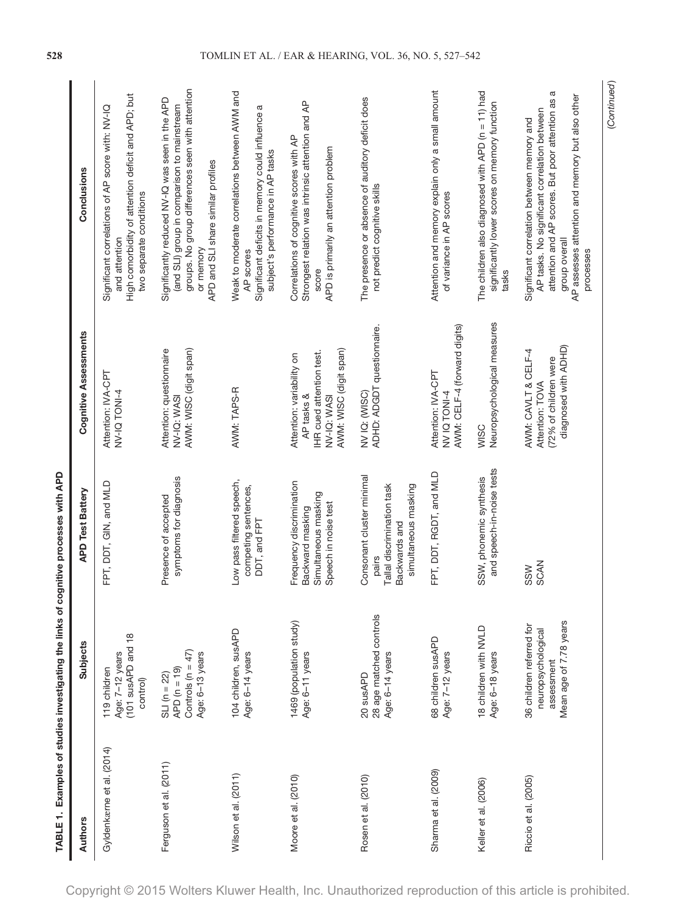|                           | TABLE 1. Examples of studies investigating the links of cognitive processes with APD   |                                                                                                           |                                                                                                              |                                                                                                                                                                                                                                 |
|---------------------------|----------------------------------------------------------------------------------------|-----------------------------------------------------------------------------------------------------------|--------------------------------------------------------------------------------------------------------------|---------------------------------------------------------------------------------------------------------------------------------------------------------------------------------------------------------------------------------|
| <b>Authors</b>            | <b>Subjects</b>                                                                        | <b>APD Test Battery</b>                                                                                   | Cognitive Assessments                                                                                        | Conclusions                                                                                                                                                                                                                     |
| Gyldenkærne et al. (2014) | (101 susAPD and 18<br>Age: 7-12 years<br>119 children<br>control)                      | FPT, DDT, GIN, and MLD                                                                                    | Attention: IVA-CPT<br><b>NV-IQ TONI-4</b>                                                                    | High comorbidity of attention deficit and APD; but<br>Significant correlations of AP score with: NV-IQ<br>two separate conditions<br>and attention                                                                              |
| Ferguson et al. (2011)    | Controls ( $n = 47$ )<br>Age: 6-13 years<br>$APD(n = 19)$<br>SLI ( $n = 22$ )          | symptoms for diagnosis<br>Presence of accepted                                                            | Attention: questionnaire<br>AWM: WISC (digit span)<br>NV-IQ: WASI                                            | groups. No group differences seen with attention<br>Significantly reduced NV-IQ was seen in the APD<br>(and SLI) group in comparison to mainstream<br>APD and SLI share similar profiles<br>or memory                           |
| Wilson et al. (2011)      | 104 children, susAPD<br>Age: 6-14 years                                                | Low pass filtered speech,<br>competing sentences,<br>DDT, and FPT                                         | AWM: TAPS-R                                                                                                  | Weak to moderate correlations between AWM and<br>Significant deficits in memory could influence a<br>subject's performance in AP tasks<br>AP scores                                                                             |
| Moore et al. (2010)       | 1469 (population study)<br>Age: 6-11 years                                             | Frequency discrimination<br>Simultaneous masking<br>Speech in noise test<br>Backward masking              | AWM: WISC (digit span)<br>IHR cued attention test.<br>Attention: variability on<br>AP tasks &<br>NV-IQ: WASI | Strongest relation was intrinsic attention and AP<br>Correlations of cognitive scores with AP<br>APD is primarily an attention problem                                                                                          |
| Rosen et al. (2010)       | 28 age matched controls<br>Age: 6-14 years<br>20 susAPD                                | Consonant cluster minimal<br>Tallal discrimination task<br>simultaneous masking<br>Backwards and<br>pairs | ADHD: ADGDT questionnaire.<br>NV IQ: (WISC)                                                                  | The presence or absence of auditory deficit does<br>not predict cognitive skills                                                                                                                                                |
| Sharma et al. (2009)      | 68 children susAPD<br>Age: 7-12 years                                                  | FPT, DDT, RGDT, and MLD                                                                                   | AWM: CELF-4 (forward digits)<br>Attention: IVA-CPT<br>NVIQTONI-4                                             | Attention and memory explain only a small amount<br>of variance in AP scores                                                                                                                                                    |
| Keller et al. (2006)      | 18 children with NVLD<br>Age: 6-18 years                                               | and speech-in-noise tests<br>SSW, phonemic synthesis                                                      | Neuropsychological measures<br><b>WISC</b>                                                                   | The children also diagnosed with APD (n = 11) had<br>significantly lower scores on memory function<br>tasks                                                                                                                     |
| Riccio et al. (2005)      | Mean age of 7.78 years<br>36 children referred for<br>neuropsychological<br>assessment | SCAN<br>SSW                                                                                               | diagnosed with ADHD)<br>AWM: CAVLT & CELF-4<br>(72% of children were<br>Attention: TOVA                      | attention and AP scores. But poor attention as a<br>AP assesses attention and memory but also other<br>AP tasks. No significant correlation between<br>Significant correlation between memory and<br>group overall<br>processes |
|                           |                                                                                        |                                                                                                           |                                                                                                              | (Continued)                                                                                                                                                                                                                     |

Copyright © 2015 Wolters Kluwer Health, Inc. Unauthorized reproduction of this article is prohibited.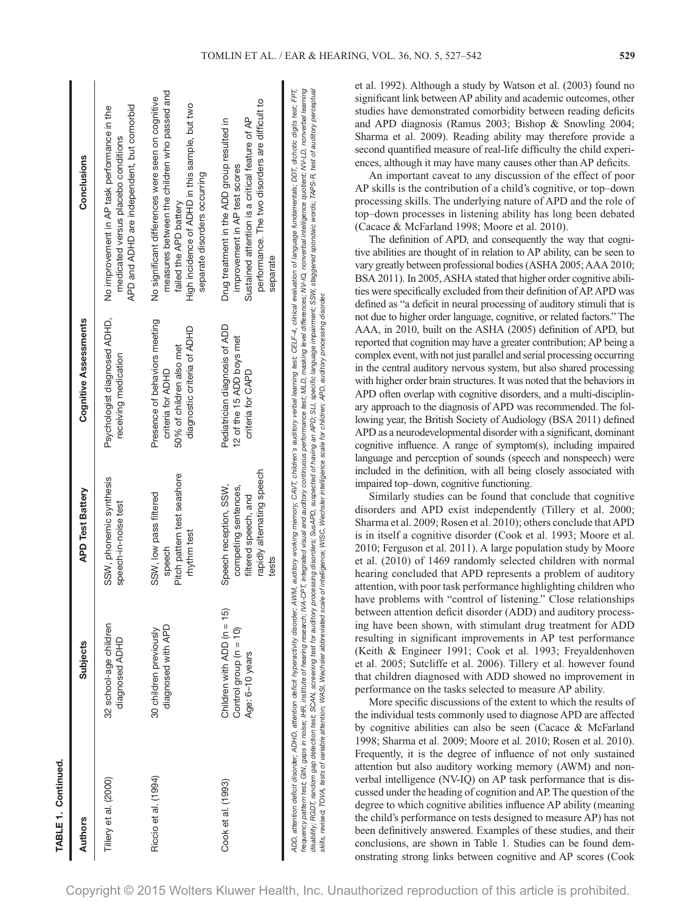| <b>Authors</b>        | Subjects                                                                      | <b>APD Test Battery</b>                                                                                       | Cognitive Assessments                                                                                                                                                                   | Conclusions                                                                                                                                                                                                                                                                                                                                                                                                                                                                                                                                                                                                                                                                                        |
|-----------------------|-------------------------------------------------------------------------------|---------------------------------------------------------------------------------------------------------------|-----------------------------------------------------------------------------------------------------------------------------------------------------------------------------------------|----------------------------------------------------------------------------------------------------------------------------------------------------------------------------------------------------------------------------------------------------------------------------------------------------------------------------------------------------------------------------------------------------------------------------------------------------------------------------------------------------------------------------------------------------------------------------------------------------------------------------------------------------------------------------------------------------|
| Tillery et al. (2000) | 32 school-age children<br>diagnosed ADHD                                      | SSW, phonemic synthesis<br>speech-in-noise test                                                               | Psychologist diagnosed ADHD,<br>receiving medication                                                                                                                                    | APD and ADHD are independent, but comorbid<br>No improvement in AP task performance in the<br>medicated versus placebo conditions                                                                                                                                                                                                                                                                                                                                                                                                                                                                                                                                                                  |
| Riccio et al. (1994)  | diagnosed with APD<br>30 children previously                                  | Pitch pattern test seashore<br>SSW, low pass filtered<br>mythm test<br>speech                                 | Presence of behaviors meeting<br>diagnostic criteria of ADHD<br>50% of children also met<br>criteria for ADHD                                                                           | measures between the children who passed and<br>No significant differences were seen on cognitive<br>High incidence of ADHD in this sample, but two<br>separate disorders occurring<br>failed the APD battery                                                                                                                                                                                                                                                                                                                                                                                                                                                                                      |
| Cook et al. (1993)    | Children with ADD ( $n = 15$ )<br>Control group $(n = 10)$<br>Age: 6-10 years | rapidly alternating speech<br>Speech reception, SSW,<br>competing sentences.<br>filtered speech, and<br>tests | Pediatrician diagnosis of ADD<br>12 of the 15 ADD boys met<br>criteria for CAPD                                                                                                         | performance. The two disorders are difficult to<br>Sustained attention is a critical feature of AP<br>Drug treatment in the ADD group resulted in<br>improvement in AP test scores<br>separate                                                                                                                                                                                                                                                                                                                                                                                                                                                                                                     |
|                       |                                                                               |                                                                                                               | skills, revised; TOVA, tests of variable attention; WASI, Wechsler abbreviated scale of intelligence; WISC, Wechsler intelligence scale for children; APD, auditory processing disorder | frequency pattern test; GIN, gaps in noise; IHR, institute of hearing research; IVA-CPT, integrated visual and auditory continuous performance test; MLD, masking level differences; NV-IQ, nonverbal intelligence quotient; N<br>ADD, attention deficit disorder; ADHD, attention deficit hyperactivity disorder; AWM, audition working memory; CAVT, children's auditory verbal learning test; CELF-4, clinical evaluation of language fundamentals; DDT, dich<br>disability; RGDT, random geap detection test; SCAN, screening test for auditory processing disorders; SusAPD, suspecific an APD; SLI, specific language impairment; SSIN, staggered spondaic words; TAPS-R, test of auditory p |

**TABLE 1.**

**Continued.**

TABLE 1. Continued

Ï  $\overline{1}$ 

et al. 1992). Although a study by Watson et al. (2003) found no significant link between AP ability and academic outcomes, other studies have demonstrated comorbidity between reading deficits and APD diagnosis (Ramus 2003; Bishop & Snowling 2004; Sharma et al. 2009). Reading ability may therefore provide a second quantified measure of real-life difficulty the child experiences, although it may have many causes other than AP deficits.

An important caveat to any discussion of the effect of poor AP skills is the contribution of a child's cognitive, or top–down processing skills. The underlying nature of APD and the role of top–down processes in listening ability has long been debated (Cacace & McFarland 1998; Moore et al. 2010).

The definition of APD, and consequently the way that cognitive abilities are thought of in relation to AP ability, can be seen to vary greatly between professional bodies (ASHA 2005; AAA 2010; BSA 2011). In 2005, ASHA stated that higher order cognitive abilities were specifically excluded from their definition of AP. APD was defined as "a deficit in neural processing of auditory stimuli that is not due to higher order language, cognitive, or related factors." The AAA, in 2010, built on the ASHA (2005) definition of APD, but reported that cognition may have a greater contribution; AP being a complex event, with not just parallel and serial processing occurring in the central auditory nervous system, but also shared processing with higher order brain structures. It was noted that the behaviors in APD often overlap with cognitive disorders, and a multi-disciplinary approach to the diagnosis of APD was recommended. The following year, the British Society of Audiology (BSA 2011) defined APD as a neurodevelopmental disorder with a significant, dominant cognitive influence. A range of symptom(s), including impaired language and perception of sounds (speech and nonspeech) were included in the definition, with all being closely associated with impaired top–down, cognitive functioning.

Similarly studies can be found that conclude that cognitive disorders and APD exist independently (Tillery et al. 2000; Sharma et al. 2009; Rosen et al. 2010); others conclude that APD is in itself a cognitive disorder (Cook et al. 1993; Moore et al. 2010; Ferguson et al. 2011). A large population study by Moore et al. (2010) of 1469 randomly selected children with normal hearing concluded that APD represents a problem of auditory attention, with poor task performance highlighting children who have problems with "control of listening." Close relationships between attention deficit disorder (ADD) and auditory processing have been shown, with stimulant drug treatment for ADD resulting in significant improvements in AP test performance (Keith & Engineer 1991; Cook et al. 1993; Freyaldenhoven et al. 2005; Sutcliffe et al. 2006). Tillery et al. however found that children diagnosed with ADD showed no improvement in performance on the tasks selected to measure AP ability.

More specific discussions of the extent to which the results of the individual tests commonly used to diagnose APD are affected by cognitive abilities can also be seen (Cacace & McFarland 1998; Sharma et al. 2009; Moore et al. 2010; Rosen et al. 2010). Frequently, it is the degree of influence of not only sustained attention but also auditory working memory (AWM) and nonverbal intelligence (NV-IQ) on AP task performance that is discussed under the heading of cognition and AP. The question of the degree to which cognitive abilities influence AP ability (meaning the child's performance on tests designed to measure AP) has not been definitively answered. Examples of these studies, and their conclusions, are shown in Table 1. Studies can be found demonstrating strong links between cognitive and AP scores (Cook

Ï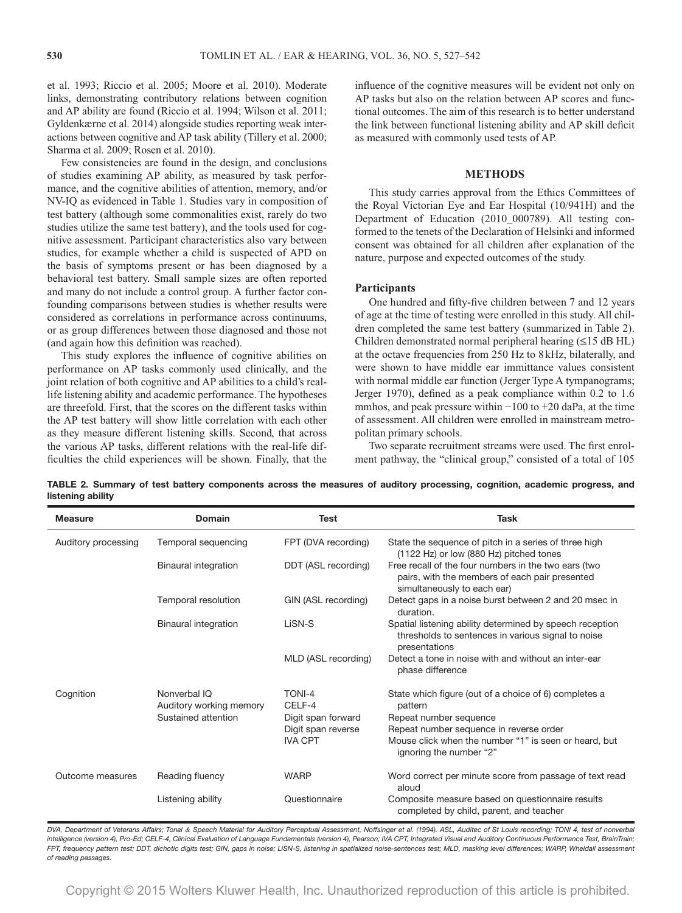et al. 1993; Riccio et al. 2005; Moore et al. 2010). Moderate links, demonstrating contributory relations between cognition and AP ability are found (Riccio et al. 1994; Wilson et al. 2011; Gyldenkærne et al. 2014) alongside studies reporting weak interactions between cognitive and AP task ability (Tillery et al. 2000; Sharma et al. 2009; Rosen et al. 2010).

Few consistencies are found in the design, and conclusions of studies examining AP ability, as measured by task performance, and the cognitive abilities of attention, memory, and/or NV-IQ as evidenced in Table 1. Studies vary in composition of test battery (although some commonalities exist, rarely do two studies utilize the same test battery), and the tools used for cognitive assessment. Participant characteristics also vary between studies, for example whether a child is suspected of APD on the basis of symptoms present or has been diagnosed by a behavioral test battery. Small sample sizes are often reported and many do not include a control group. A further factor confounding comparisons between studies is whether results were considered as correlations in performance across continuums, or as group differences between those diagnosed and those not (and again how this definition was reached).

This study explores the influence of cognitive abilities on performance on AP tasks commonly used clinically, and the joint relation of both cognitive and AP abilities to a child's reallife listening ability and academic performance. The hypotheses are threefold. First, that the scores on the different tasks within the AP test battery will show little correlation with each other as they measure different listening skills. Second, that across the various AP tasks, different relations with the real-life difficulties the child experiences will be shown. Finally, that the influence of the cognitive measures will be evident not only on AP tasks but also on the relation between AP scores and functional outcomes. The aim of this research is to better understand the link between functional listening ability and AP skill deficit as measured with commonly used tests of AP.

## **METHODS**

This study carries approval from the Ethics Committees of the Royal Victorian Eye and Ear Hospital (10/941H) and the Department of Education (2010\_000789). All testing conformed to the tenets of the Declaration of Helsinki and informed consent was obtained for all children after explanation of the nature, purpose and expected outcomes of the study.

#### **Participants**

One hundred and fifty-five children between 7 and 12 years of age at the time of testing were enrolled in this study. All children completed the same test battery (summarized in Table 2). Children demonstrated normal peripheral hearing (≤15 dB HL) at the octave frequencies from 250 Hz to 8 kHz, bilaterally, and were shown to have middle ear immittance values consistent with normal middle ear function (Jerger Type A tympanograms; Jerger 1970), defined as a peak compliance within 0.2 to 1.6 mmhos, and peak pressure within −100 to +20 daPa, at the time of assessment. All children were enrolled in mainstream metropolitan primary schools.

Two separate recruitment streams were used. The first enrolment pathway, the "clinical group," consisted of a total of 105

**TABLE 2. Summary of test battery components across the measures of auditory processing, cognition, academic progress, and listening ability**

| <b>Measure</b>      | Domain                                  | <b>Test</b>         | <b>Task</b>                                                                                                                           |
|---------------------|-----------------------------------------|---------------------|---------------------------------------------------------------------------------------------------------------------------------------|
| Auditory processing | Temporal sequencing                     | FPT (DVA recording) | State the sequence of pitch in a series of three high<br>(1122 Hz) or low (880 Hz) pitched tones                                      |
|                     | <b>Binaural integration</b>             | DDT (ASL recording) | Free recall of the four numbers in the two ears (two<br>pairs, with the members of each pair presented<br>simultaneously to each ear) |
|                     | Temporal resolution                     | GIN (ASL recording) | Detect gaps in a noise burst between 2 and 20 msec in<br>duration.                                                                    |
|                     | Binaural integration                    | LISN-S              | Spatial listening ability determined by speech reception<br>thresholds to sentences in various signal to noise<br>presentations       |
|                     |                                         | MLD (ASL recording) | Detect a tone in noise with and without an inter-ear<br>phase difference                                                              |
| Cognition           | Nonverbal IQ<br>Auditory working memory | TONI-4<br>CELF-4    | State which figure (out of a choice of 6) completes a<br>pattern                                                                      |
|                     | Sustained attention                     | Digit span forward  | Repeat number sequence                                                                                                                |
|                     |                                         | Digit span reverse  | Repeat number sequence in reverse order                                                                                               |
|                     |                                         | <b>IVA CPT</b>      | Mouse click when the number "1" is seen or heard, but<br>ignoring the number "2"                                                      |
| Outcome measures    | Reading fluency                         | <b>WARP</b>         | Word correct per minute score from passage of text read<br>aloud                                                                      |
|                     | Listening ability                       | Questionnaire       | Composite measure based on questionnaire results<br>completed by child, parent, and teacher                                           |

*DVA, Department of Veterans Affairs; Tonal & Speech Material for Auditory Perceptual Assessment, Noffsinger et al. (1994). ASL, Auditec of St Louis recording; TONI 4, test of nonverbal*  intelligence (version 4), Pro-Ed; CELF-4, Clinical Evaluation of Language Fundamentals (version 4), Pearson; IVA CPT, Integrated Visual and Auditory Continuous Performance Test, BrainTrain; *FPT, frequency pattern test; DDT, dichotic digits test; GIN, gaps in noise; LiSN-S, listening in spatialized noise-sentences test; MLD, masking level differences; WARP, Wheldall assessment of reading passages.*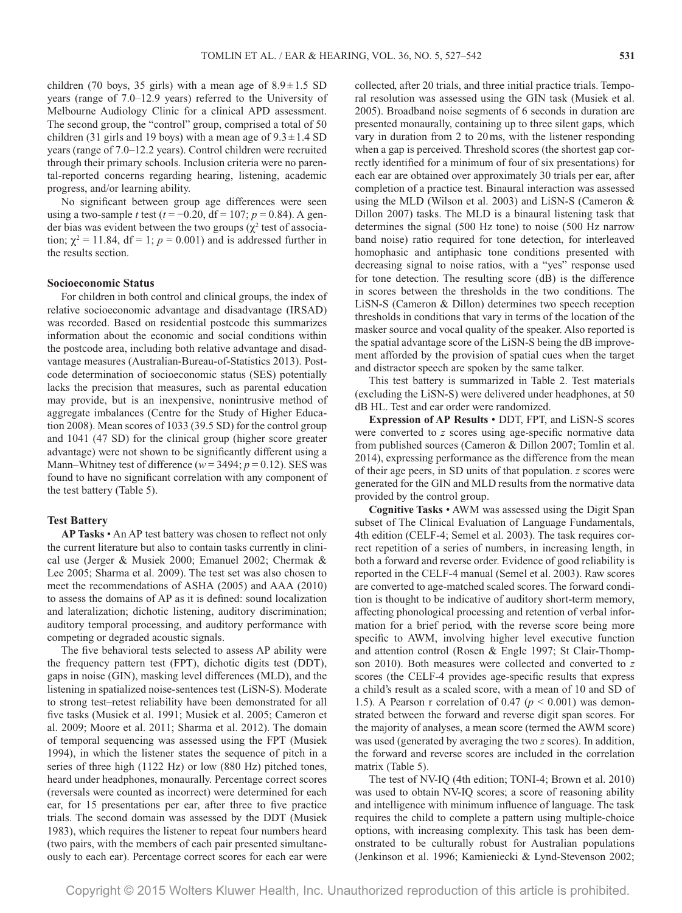children (70 boys, 35 girls) with a mean age of  $8.9 \pm 1.5$  SD years (range of 7.0–12.9 years) referred to the University of Melbourne Audiology Clinic for a clinical APD assessment. The second group, the "control" group, comprised a total of 50 children (31 girls and 19 boys) with a mean age of  $9.3 \pm 1.4$  SD years (range of 7.0–12.2 years). Control children were recruited through their primary schools. Inclusion criteria were no parental-reported concerns regarding hearing, listening, academic progress, and/or learning ability.

No significant between group age differences were seen using a two-sample *t* test ( $t$  = −0.20, df = 107;  $p$  = 0.84). A gender bias was evident between the two groups ( $\chi^2$  test of association;  $\chi^2 = 11.84$ , df = 1;  $p = 0.001$ ) and is addressed further in the results section.

## **Socioeconomic Status**

For children in both control and clinical groups, the index of relative socioeconomic advantage and disadvantage (IRSAD) was recorded. Based on residential postcode this summarizes information about the economic and social conditions within the postcode area, including both relative advantage and disadvantage measures (Australian-Bureau-of-Statistics 2013). Postcode determination of socioeconomic status (SES) potentially lacks the precision that measures, such as parental education may provide, but is an inexpensive, nonintrusive method of aggregate imbalances (Centre for the Study of Higher Education 2008). Mean scores of 1033 (39.5 SD) for the control group and 1041 (47 SD) for the clinical group (higher score greater advantage) were not shown to be significantly different using a Mann–Whitney test of difference ( $w = 3494$ ;  $p = 0.12$ ). SES was found to have no significant correlation with any component of the test battery (Table 5).

#### **Test Battery**

**AP Tasks** • An AP test battery was chosen to reflect not only the current literature but also to contain tasks currently in clinical use (Jerger & Musiek 2000; Emanuel 2002; Chermak & Lee 2005; Sharma et al. 2009). The test set was also chosen to meet the recommendations of ASHA (2005) and AAA (2010) to assess the domains of AP as it is defined: sound localization and lateralization; dichotic listening, auditory discrimination; auditory temporal processing, and auditory performance with competing or degraded acoustic signals.

The five behavioral tests selected to assess AP ability were the frequency pattern test (FPT), dichotic digits test (DDT), gaps in noise (GIN), masking level differences (MLD), and the listening in spatialized noise-sentences test (LiSN-S). Moderate to strong test–retest reliability have been demonstrated for all five tasks (Musiek et al. 1991; Musiek et al. 2005; Cameron et al. 2009; Moore et al. 2011; Sharma et al. 2012). The domain of temporal sequencing was assessed using the FPT (Musiek 1994), in which the listener states the sequence of pitch in a series of three high (1122 Hz) or low (880 Hz) pitched tones, heard under headphones, monaurally. Percentage correct scores (reversals were counted as incorrect) were determined for each ear, for 15 presentations per ear, after three to five practice trials. The second domain was assessed by the DDT (Musiek 1983), which requires the listener to repeat four numbers heard (two pairs, with the members of each pair presented simultaneously to each ear). Percentage correct scores for each ear were collected, after 20 trials, and three initial practice trials. Temporal resolution was assessed using the GIN task (Musiek et al. 2005). Broadband noise segments of 6 seconds in duration are presented monaurally, containing up to three silent gaps, which vary in duration from 2 to 20ms, with the listener responding when a gap is perceived. Threshold scores (the shortest gap correctly identified for a minimum of four of six presentations) for each ear are obtained over approximately 30 trials per ear, after completion of a practice test. Binaural interaction was assessed using the MLD (Wilson et al. 2003) and LiSN-S (Cameron & Dillon 2007) tasks. The MLD is a binaural listening task that determines the signal (500 Hz tone) to noise (500 Hz narrow band noise) ratio required for tone detection, for interleaved homophasic and antiphasic tone conditions presented with decreasing signal to noise ratios, with a "yes" response used for tone detection. The resulting score (dB) is the difference in scores between the thresholds in the two conditions. The LiSN-S (Cameron & Dillon) determines two speech reception thresholds in conditions that vary in terms of the location of the masker source and vocal quality of the speaker. Also reported is the spatial advantage score of the LiSN-S being the dB improvement afforded by the provision of spatial cues when the target and distractor speech are spoken by the same talker.

This test battery is summarized in Table 2. Test materials (excluding the LiSN-S) were delivered under headphones, at 50 dB HL. Test and ear order were randomized.

**Expression of AP Results** • DDT, FPT, and LiSN-S scores were converted to *z* scores using age-specific normative data from published sources (Cameron & Dillon 2007; Tomlin et al. 2014), expressing performance as the difference from the mean of their age peers, in SD units of that population. *z* scores were generated for the GIN and MLD results from the normative data provided by the control group.

**Cognitive Tasks** • AWM was assessed using the Digit Span subset of The Clinical Evaluation of Language Fundamentals, 4th edition (CELF-4; Semel et al. 2003). The task requires correct repetition of a series of numbers, in increasing length, in both a forward and reverse order. Evidence of good reliability is reported in the CELF-4 manual (Semel et al. 2003). Raw scores are converted to age-matched scaled scores. The forward condition is thought to be indicative of auditory short-term memory, affecting phonological processing and retention of verbal information for a brief period, with the reverse score being more specific to AWM, involving higher level executive function and attention control (Rosen & Engle 1997; St Clair-Thompson 2010). Both measures were collected and converted to *z* scores (the CELF-4 provides age-specific results that express a child's result as a scaled score, with a mean of 10 and SD of 1.5). A Pearson r correlation of 0.47 ( $p < 0.001$ ) was demonstrated between the forward and reverse digit span scores. For the majority of analyses, a mean score (termed the AWM score) was used (generated by averaging the two *z* scores). In addition, the forward and reverse scores are included in the correlation matrix (Table 5).

The test of NV-IQ (4th edition; TONI-4; Brown et al. 2010) was used to obtain NV-IQ scores; a score of reasoning ability and intelligence with minimum influence of language. The task requires the child to complete a pattern using multiple-choice options, with increasing complexity. This task has been demonstrated to be culturally robust for Australian populations (Jenkinson et al. 1996; Kamieniecki & Lynd-Stevenson 2002;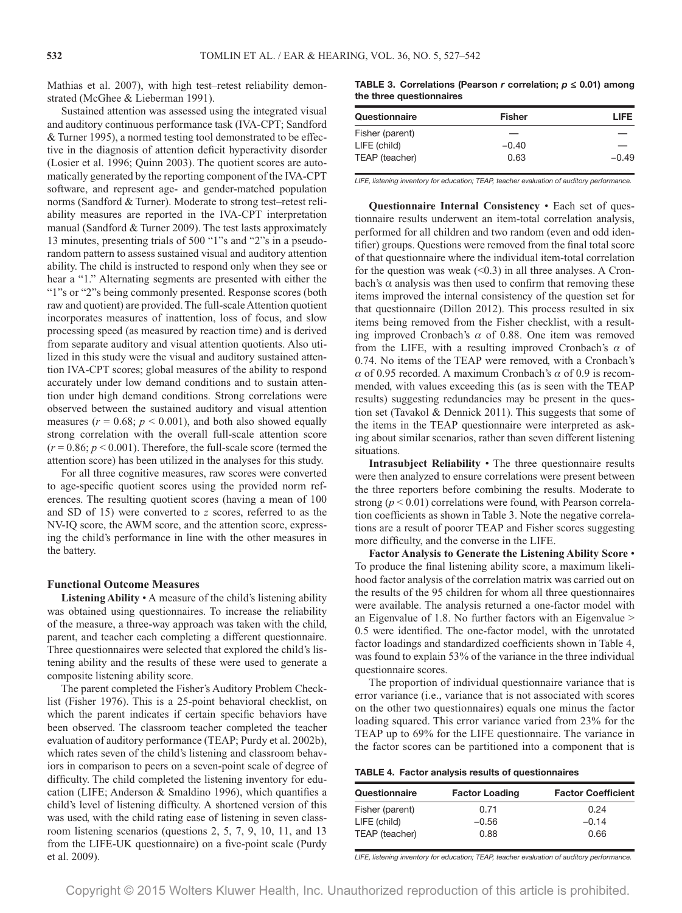Mathias et al. 2007), with high test–retest reliability demonstrated (McGhee & Lieberman 1991).

Sustained attention was assessed using the integrated visual and auditory continuous performance task (IVA-CPT; Sandford & Turner 1995), a normed testing tool demonstrated to be effective in the diagnosis of attention deficit hyperactivity disorder (Losier et al. 1996; Quinn 2003). The quotient scores are automatically generated by the reporting component of the IVA-CPT software, and represent age- and gender-matched population norms (Sandford & Turner). Moderate to strong test–retest reliability measures are reported in the IVA-CPT interpretation manual (Sandford & Turner 2009). The test lasts approximately 13 minutes, presenting trials of 500 "1"s and "2"s in a pseudorandom pattern to assess sustained visual and auditory attention ability. The child is instructed to respond only when they see or hear a "1." Alternating segments are presented with either the "1"s or "2"s being commonly presented. Response scores (both raw and quotient) are provided. The full-scale Attention quotient incorporates measures of inattention, loss of focus, and slow processing speed (as measured by reaction time) and is derived from separate auditory and visual attention quotients. Also utilized in this study were the visual and auditory sustained attention IVA-CPT scores; global measures of the ability to respond accurately under low demand conditions and to sustain attention under high demand conditions. Strong correlations were observed between the sustained auditory and visual attention measures  $(r = 0.68; p < 0.001)$ , and both also showed equally strong correlation with the overall full-scale attention score  $(r = 0.86; p < 0.001)$ . Therefore, the full-scale score (termed the attention score) has been utilized in the analyses for this study.

For all three cognitive measures, raw scores were converted to age-specific quotient scores using the provided norm references. The resulting quotient scores (having a mean of 100 and SD of 15) were converted to *z* scores, referred to as the NV-IQ score, the AWM score, and the attention score, expressing the child's performance in line with the other measures in the battery.

#### **Functional Outcome Measures**

**Listening Ability** • A measure of the child's listening ability was obtained using questionnaires. To increase the reliability of the measure, a three-way approach was taken with the child, parent, and teacher each completing a different questionnaire. Three questionnaires were selected that explored the child's listening ability and the results of these were used to generate a composite listening ability score.

The parent completed the Fisher's Auditory Problem Checklist (Fisher 1976). This is a 25-point behavioral checklist, on which the parent indicates if certain specific behaviors have been observed. The classroom teacher completed the teacher evaluation of auditory performance (TEAP; Purdy et al. 2002b), which rates seven of the child's listening and classroom behaviors in comparison to peers on a seven-point scale of degree of difficulty. The child completed the listening inventory for education (LIFE; Anderson & Smaldino 1996), which quantifies a child's level of listening difficulty. A shortened version of this was used, with the child rating ease of listening in seven classroom listening scenarios (questions 2, 5, 7, 9, 10, 11, and 13 from the LIFE-UK questionnaire) on a five-point scale (Purdy et al. 2009).

| <b>TABLE 3. Correlations (Pearson r correlation; <math>p \le 0.01</math>) among</b> |  |  |
|-------------------------------------------------------------------------------------|--|--|
| the three questionnaires                                                            |  |  |

| Questionnaire   | <b>Fisher</b> | <b>LIFE</b> |
|-----------------|---------------|-------------|
| Fisher (parent) | _             |             |
| LIFE (child)    | $-0.40$       | _           |
| TEAP (teacher)  | 0.63          | $-0.49$     |

*LIFE, listening inventory for education; TEAP, teacher evaluation of auditory performance.*

**Questionnaire Internal Consistency** • Each set of questionnaire results underwent an item-total correlation analysis, performed for all children and two random (even and odd identifier) groups. Questions were removed from the final total score of that questionnaire where the individual item-total correlation for the question was weak  $( $0.3$ )$  in all three analyses. A Cronbach's  $\alpha$  analysis was then used to confirm that removing these items improved the internal consistency of the question set for that questionnaire (Dillon 2012). This process resulted in six items being removed from the Fisher checklist, with a resulting improved Cronbach's *α* of 0.88. One item was removed from the LIFE, with a resulting improved Cronbach's *α* of 0.74. No items of the TEAP were removed, with a Cronbach's *α* of 0.95 recorded. A maximum Cronbach's *α* of 0.9 is recommended, with values exceeding this (as is seen with the TEAP results) suggesting redundancies may be present in the question set (Tavakol & Dennick 2011). This suggests that some of the items in the TEAP questionnaire were interpreted as asking about similar scenarios, rather than seven different listening situations.

**Intrasubject Reliability** • The three questionnaire results were then analyzed to ensure correlations were present between the three reporters before combining the results. Moderate to strong (*p* < 0.01) correlations were found, with Pearson correlation coefficients as shown in Table 3. Note the negative correlations are a result of poorer TEAP and Fisher scores suggesting more difficulty, and the converse in the LIFE.

**Factor Analysis to Generate the Listening Ability Score** • To produce the final listening ability score, a maximum likelihood factor analysis of the correlation matrix was carried out on the results of the 95 children for whom all three questionnaires were available. The analysis returned a one-factor model with an Eigenvalue of 1.8. No further factors with an Eigenvalue > 0.5 were identified. The one-factor model, with the unrotated factor loadings and standardized coefficients shown in Table 4, was found to explain 53% of the variance in the three individual questionnaire scores.

The proportion of individual questionnaire variance that is error variance (i.e., variance that is not associated with scores on the other two questionnaires) equals one minus the factor loading squared. This error variance varied from 23% for the TEAP up to 69% for the LIFE questionnaire. The variance in the factor scores can be partitioned into a component that is

#### **Table 4. Factor analysis results of questionnaires**

| Questionnaire   | <b>Factor Loading</b> | <b>Factor Coefficient</b> |
|-----------------|-----------------------|---------------------------|
| Fisher (parent) | 0.71                  | 0.24                      |
| LIFE (child)    | $-0.56$               | $-0.14$                   |
| TEAP (teacher)  | 0.88                  | 0.66                      |

*LIFE, listening inventory for education; TEAP, teacher evaluation of auditory performance.*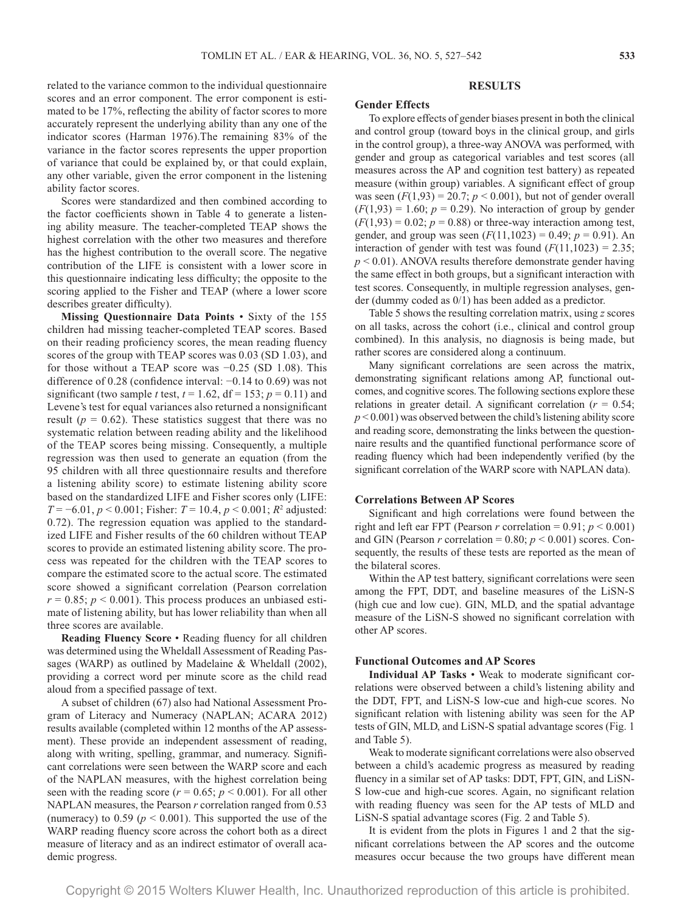related to the variance common to the individual questionnaire scores and an error component. The error component is estimated to be 17%, reflecting the ability of factor scores to more accurately represent the underlying ability than any one of the indicator scores (Harman 1976).The remaining 83% of the variance in the factor scores represents the upper proportion of variance that could be explained by, or that could explain, any other variable, given the error component in the listening ability factor scores.

Scores were standardized and then combined according to the factor coefficients shown in Table 4 to generate a listening ability measure. The teacher-completed TEAP shows the highest correlation with the other two measures and therefore has the highest contribution to the overall score. The negative contribution of the LIFE is consistent with a lower score in this questionnaire indicating less difficulty; the opposite to the scoring applied to the Fisher and TEAP (where a lower score describes greater difficulty).

**Missing Questionnaire Data Points** • Sixty of the 155 children had missing teacher-completed TEAP scores. Based on their reading proficiency scores, the mean reading fluency scores of the group with TEAP scores was 0.03 (SD 1.03), and for those without a TEAP score was −0.25 (SD 1.08). This difference of 0.28 (confidence interval: −0.14 to 0.69) was not significant (two sample *t* test,  $t = 1.62$ ,  $df = 153$ ;  $p = 0.11$ ) and Levene's test for equal variances also returned a nonsignificant result ( $p = 0.62$ ). These statistics suggest that there was no systematic relation between reading ability and the likelihood of the TEAP scores being missing. Consequently, a multiple regression was then used to generate an equation (from the 95 children with all three questionnaire results and therefore a listening ability score) to estimate listening ability score based on the standardized LIFE and Fisher scores only (LIFE: *T* = −6.01, *p* < 0.001; Fisher: *T* = 10.4, *p* < 0.001; *R*<sup>2</sup> adjusted: 0.72). The regression equation was applied to the standardized LIFE and Fisher results of the 60 children without TEAP scores to provide an estimated listening ability score. The process was repeated for the children with the TEAP scores to compare the estimated score to the actual score. The estimated score showed a significant correlation (Pearson correlation  $r = 0.85$ ;  $p < 0.001$ ). This process produces an unbiased estimate of listening ability, but has lower reliability than when all three scores are available.

**Reading Fluency Score** • Reading fluency for all children was determined using the Wheldall Assessment of Reading Passages (WARP) as outlined by Madelaine & Wheldall (2002), providing a correct word per minute score as the child read aloud from a specified passage of text.

A subset of children (67) also had National Assessment Program of Literacy and Numeracy (NAPLAN; ACARA 2012) results available (completed within 12 months of the AP assessment). These provide an independent assessment of reading, along with writing, spelling, grammar, and numeracy. Significant correlations were seen between the WARP score and each of the NAPLAN measures, with the highest correlation being seen with the reading score ( $r = 0.65$ ;  $p < 0.001$ ). For all other NAPLAN measures, the Pearson *r* correlation ranged from 0.53 (numeracy) to  $0.59$  ( $p < 0.001$ ). This supported the use of the WARP reading fluency score across the cohort both as a direct measure of literacy and as an indirect estimator of overall academic progress.

#### **RESULTS**

## **Gender Effects**

To explore effects of gender biases present in both the clinical and control group (toward boys in the clinical group, and girls in the control group), a three-way ANOVA was performed, with gender and group as categorical variables and test scores (all measures across the AP and cognition test battery) as repeated measure (within group) variables. A significant effect of group was seen  $(F(1,93) = 20.7; p < 0.001)$ , but not of gender overall  $(F(1,93) = 1.60; p = 0.29)$ . No interaction of group by gender  $(F(1,93) = 0.02; p = 0.88)$  or three-way interaction among test, gender, and group was seen  $(F(11,1023) = 0.49; p = 0.91)$ . An interaction of gender with test was found  $(F(11,1023) = 2.35)$ ;  $p < 0.01$ ). ANOVA results therefore demonstrate gender having the same effect in both groups, but a significant interaction with test scores. Consequently, in multiple regression analyses, gender (dummy coded as 0/1) has been added as a predictor.

Table 5 shows the resulting correlation matrix, using *z* scores on all tasks, across the cohort (i.e., clinical and control group combined). In this analysis, no diagnosis is being made, but rather scores are considered along a continuum.

Many significant correlations are seen across the matrix, demonstrating significant relations among AP, functional outcomes, and cognitive scores. The following sections explore these relations in greater detail. A significant correlation  $(r = 0.54)$ ;  $p$  < 0.001) was observed between the child's listening ability score and reading score, demonstrating the links between the questionnaire results and the quantified functional performance score of reading fluency which had been independently verified (by the significant correlation of the WARP score with NAPLAN data).

#### **Correlations Between AP Scores**

Significant and high correlations were found between the right and left ear FPT (Pearson  $r$  correlation = 0.91;  $p < 0.001$ ) and GIN (Pearson  $r$  correlation = 0.80;  $p < 0.001$ ) scores. Consequently, the results of these tests are reported as the mean of the bilateral scores.

Within the AP test battery, significant correlations were seen among the FPT, DDT, and baseline measures of the LiSN-S (high cue and low cue). GIN, MLD, and the spatial advantage measure of the LiSN-S showed no significant correlation with other AP scores.

#### **Functional Outcomes and AP Scores**

**Individual AP Tasks** • Weak to moderate significant correlations were observed between a child's listening ability and the DDT, FPT, and LiSN-S low-cue and high-cue scores. No significant relation with listening ability was seen for the AP tests of GIN, MLD, and LiSN-S spatial advantage scores (Fig. 1 and Table 5).

Weak to moderate significant correlations were also observed between a child's academic progress as measured by reading fluency in a similar set of AP tasks: DDT, FPT, GIN, and LiSN-S low-cue and high-cue scores. Again, no significant relation with reading fluency was seen for the AP tests of MLD and LiSN-S spatial advantage scores (Fig. 2 and Table 5).

It is evident from the plots in Figures 1 and 2 that the significant correlations between the AP scores and the outcome measures occur because the two groups have different mean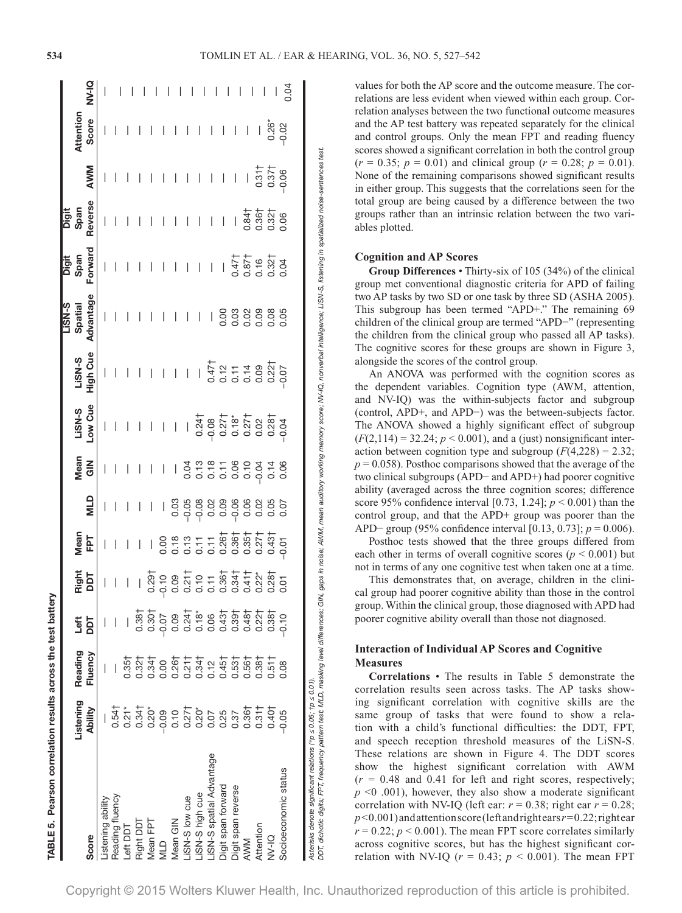|                                                                                                                                                                            | Listening                       | Reading                                                       | †ئ                |                     |                |                                                                                                                                                                                                                                                                                                                                                                                                                                                             |                          | LiSN-S  |                    | Spatial                                                                                                                                     |                          |                          |                          | Attention                |                          |
|----------------------------------------------------------------------------------------------------------------------------------------------------------------------------|---------------------------------|---------------------------------------------------------------|-------------------|---------------------|----------------|-------------------------------------------------------------------------------------------------------------------------------------------------------------------------------------------------------------------------------------------------------------------------------------------------------------------------------------------------------------------------------------------------------------------------------------------------------------|--------------------------|---------|--------------------|---------------------------------------------------------------------------------------------------------------------------------------------|--------------------------|--------------------------|--------------------------|--------------------------|--------------------------|
| Score                                                                                                                                                                      | Ability                         | Fluency                                                       | Taa               | Right<br>DDT<br>DDT | Mean<br>FPT    | OTIM                                                                                                                                                                                                                                                                                                                                                                                                                                                        | Mean<br>GIN              | -ow Cue | LiSN-S<br>High Cue | Advantage                                                                                                                                   | Digit<br>Span<br>Forward | Digit<br>Span<br>Reverse | <b>AWM</b>               | Score                    | DI-NN                    |
| Listening ability                                                                                                                                                          |                                 |                                                               |                   |                     |                |                                                                                                                                                                                                                                                                                                                                                                                                                                                             | $\bigg $                 |         |                    |                                                                                                                                             |                          |                          | $\mid$                   | $\overline{\phantom{a}}$ | $\bigg $                 |
| Reading fluency                                                                                                                                                            | 0.54                            |                                                               |                   |                     | $\overline{1}$ |                                                                                                                                                                                                                                                                                                                                                                                                                                                             | $\overline{\phantom{a}}$ |         |                    | $\vert \ \ \vert$                                                                                                                           | $\overline{\phantom{0}}$ |                          |                          |                          |                          |
| $Left$ $DDT$                                                                                                                                                               | $0.21*$                         | $0.35+$                                                       |                   |                     |                | $\begin{array}{c c c c c c} \hline \textbf{1} & \textbf{1} & \textbf{1} & \textbf{1} \\ \hline \end{array}$                                                                                                                                                                                                                                                                                                                                                 |                          |         |                    |                                                                                                                                             |                          |                          |                          |                          |                          |
| Right DDT                                                                                                                                                                  | $0.34\dagger$                   | 0.321                                                         | $0.38\dagger$     |                     |                |                                                                                                                                                                                                                                                                                                                                                                                                                                                             |                          |         |                    | $\mathbf{I}$                                                                                                                                |                          |                          | $\overline{\phantom{a}}$ |                          |                          |
| Mean FPT                                                                                                                                                                   | $0.20*$                         | 0.341                                                         | 0.301             |                     |                |                                                                                                                                                                                                                                                                                                                                                                                                                                                             |                          |         |                    | $\pm 1$                                                                                                                                     |                          |                          | $\overline{\phantom{a}}$ | $\overline{\phantom{a}}$ |                          |
| <b>NILD</b>                                                                                                                                                                | $-0.09$                         | 0.00                                                          | $-0.07$           |                     |                |                                                                                                                                                                                                                                                                                                                                                                                                                                                             |                          |         |                    |                                                                                                                                             |                          |                          | $\pm 1$                  | $\overline{\phantom{a}}$ |                          |
| Mean GIN                                                                                                                                                                   | 0.10                            |                                                               | 0.09              |                     |                | $  \ \   \ \ \overset{0}{\phantom{00}}\overset{0}{\phantom{0}}\overset{0}{\phantom{0}}\overset{0}{\phantom{0}}\overset{0}{\phantom{0}}\overset{0}{\phantom{0}}\overset{0}{\phantom{0}}\overset{0}{\phantom{0}}\overset{0}{\phantom{0}}\overset{0}{\phantom{0}}\overset{0}{\phantom{0}}\overset{0}{\phantom{0}}\overset{0}{\phantom{0}}\overset{0}{\phantom{0}}\overset{0}{\phantom{0}}\overset{0}{\phantom{0}}\overset{0}{\phantom{0}}\overset{0}{\phantom$ | $111113777592348$        |         |                    | $11118888888$                                                                                                                               |                          |                          |                          | $1111111800$             |                          |
| JSN-S low cue                                                                                                                                                              |                                 |                                                               |                   |                     |                |                                                                                                                                                                                                                                                                                                                                                                                                                                                             |                          |         |                    |                                                                                                                                             |                          |                          |                          |                          | $\overline{\phantom{a}}$ |
| -iSN-S high cue                                                                                                                                                            |                                 |                                                               | $0.24$ †<br>0.18* |                     |                |                                                                                                                                                                                                                                                                                                                                                                                                                                                             |                          |         |                    |                                                                                                                                             |                          |                          |                          |                          |                          |
| JSN-S spatial Advantage                                                                                                                                                    | 0.27t<br>0.205<br>0.000<br>0.37 | $0.26$<br>$0.341$<br>$0.345$<br>$0.451$<br>$0.531$<br>$0.531$ | 0.06              |                     |                |                                                                                                                                                                                                                                                                                                                                                                                                                                                             |                          |         |                    |                                                                                                                                             |                          |                          |                          |                          |                          |
| Digit span forward                                                                                                                                                         |                                 |                                                               |                   |                     |                |                                                                                                                                                                                                                                                                                                                                                                                                                                                             |                          |         |                    |                                                                                                                                             |                          |                          |                          |                          | $\overline{\phantom{a}}$ |
| Digit span reverse                                                                                                                                                         |                                 |                                                               | $0.431$<br>0.391  |                     |                |                                                                                                                                                                                                                                                                                                                                                                                                                                                             |                          |         |                    |                                                                                                                                             |                          |                          |                          |                          | $\overline{\phantom{a}}$ |
| <b>AWM</b>                                                                                                                                                                 | 0.36                            | 0.56†                                                         | 0.48              |                     |                |                                                                                                                                                                                                                                                                                                                                                                                                                                                             |                          |         |                    |                                                                                                                                             |                          |                          |                          |                          | $\overline{\phantom{a}}$ |
| Attention                                                                                                                                                                  | 0.31                            |                                                               | 0.221             |                     |                |                                                                                                                                                                                                                                                                                                                                                                                                                                                             |                          |         |                    |                                                                                                                                             |                          |                          |                          |                          |                          |
| $NY-IG$                                                                                                                                                                    | 0.40                            | 0.381                                                         | 0.381             |                     |                |                                                                                                                                                                                                                                                                                                                                                                                                                                                             |                          |         |                    |                                                                                                                                             |                          |                          |                          |                          |                          |
| Socioeconomic status                                                                                                                                                       | 0.05                            | 0.08                                                          |                   |                     |                |                                                                                                                                                                                                                                                                                                                                                                                                                                                             |                          |         |                    |                                                                                                                                             |                          |                          |                          |                          | 0.04                     |
| DDT, dichotic digits; FPT, frequency pattern test; MLD, masking level differences; GII<br>Asterisks denote significant relations ( $p \leq 0.05$ ; $\gamma p \leq 0.01$ ). |                                 |                                                               |                   |                     |                |                                                                                                                                                                                                                                                                                                                                                                                                                                                             |                          |         |                    | gaps in noise; AWM, mean auditory working memory score; NV-IQ, nonverbal intelligence; LiSN-S, listening in spatialized noise-sentences tes |                          |                          |                          |                          |                          |

values for both the AP score and the outcome measure. The correlations are less evident when viewed within each group. Correlation analyses between the two functional outcome measures and the AP test battery was repeated separately for the clinical and control groups. Only the mean FPT and reading fluency scores showed a significant correlation in both the control group  $(r = 0.35; p = 0.01)$  and clinical group  $(r = 0.28; p = 0.01)$ . None of the remaining comparisons showed significant results in either group. This suggests that the correlations seen for the total group are being caused by a difference between the two groups rather than an intrinsic relation between the two variables plotted.

# **Cognition and AP Scores**

**Group Differences** • Thirty-six of 105 (34%) of the clinical group met conventional diagnostic criteria for APD of failing two AP tasks by two SD or one task by three SD (ASHA 2005). This subgroup has been termed "APD+." The remaining 69 children of the clinical group are termed "APD−" (representing the children from the clinical group who passed all AP tasks). The cognitive scores for these groups are shown in Figure 3, alongside the scores of the control group.

An ANOVA was performed with the cognition scores as the dependent variables. Cognition type (AWM, attention, and NV-IQ) was the within-subjects factor and subgroup (control, APD+, and APD−) was the between-subjects factor. The ANOVA showed a highly significant effect of subgroup  $(F(2,114) = 32.24; p < 0.001)$ , and a (just) nonsignificant interaction between cognition type and subgroup  $(F(4,228) = 2.32)$ ;  $p = 0.058$ ). Posthoc comparisons showed that the average of the two clinical subgroups (APD− and APD+) had poorer cognitive ability (averaged across the three cognition scores; difference score 95% confidence interval [0.73, 1.24];  $p < 0.001$ ) than the control group, and that the APD+ group was poorer than the APD− group (95% confidence interval [0.13, 0.73]; *p* = 0.006).

Posthoc tests showed that the three groups differed from each other in terms of overall cognitive scores ( $p < 0.001$ ) but not in terms of any one cognitive test when taken one at a time.

This demonstrates that, on average, children in the clinical group had poorer cognitive ability than those in the control group. Within the clinical group, those diagnosed with APD had poorer cognitive ability overall than those not diagnosed.

# **Interaction of Individual AP Scores and Cognitive Measures**

**Correlations** • The results in Table 5 demonstrate the correlation results seen across tasks. The AP tasks showing significant correlation with cognitive skills are the same group of tasks that were found to show a relation with a child's functional difficulties: the DDT, FPT, and speech reception threshold measures of the LiSN-S. These relations are shown in Figure 4. The DDT scores show the highest significant correlation with AWM  $(r = 0.48$  and 0.41 for left and right scores, respectively;  $p \leq 0.001$ ), however, they also show a moderate significant correlation with NV-IQ (left ear:  $r = 0.38$ ; right ear  $r = 0.28$ ; *p* < 0.001) and attention score (left and right ears *r* = 0.22; right ear  $r = 0.22$ ;  $p \le 0.001$ ). The mean FPT score correlates similarly across cognitive scores, but has the highest significant correlation with NV-IQ ( $r = 0.43$ ;  $p < 0.001$ ). The mean FPT

**TABLE 5.**

**Pearson correlation results across the test battery**

TABLE 5. Pearson correlation results across the test battery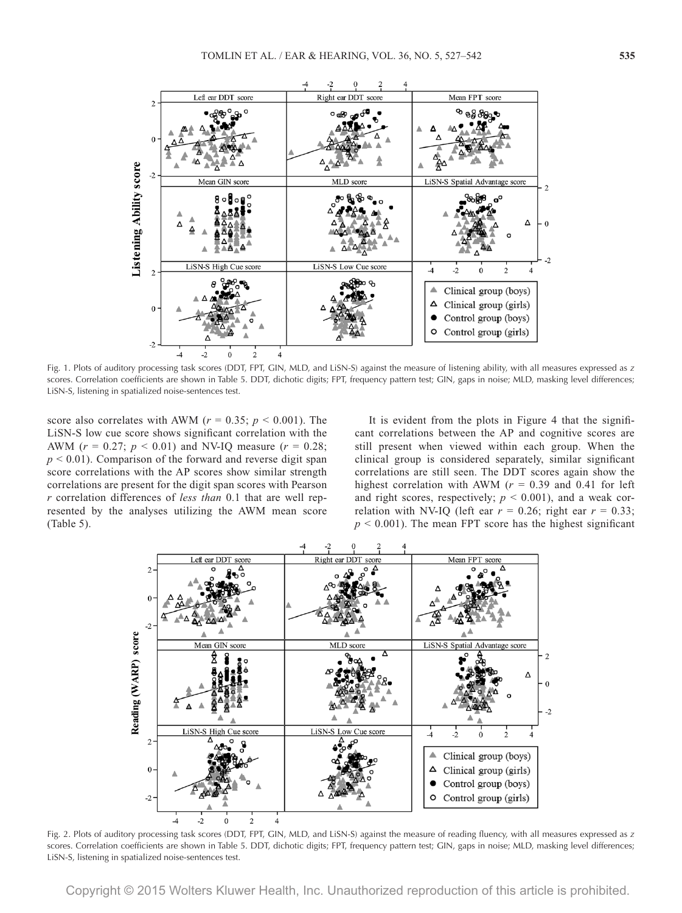

Fig. 1. Plots of auditory processing task scores (DDT, FPT, GIN, MLD, and LiSN-S) against the measure of listening ability, with all measures expressed as *z* scores. Correlation coefficients are shown in Table 5. DDT, dichotic digits; FPT, frequency pattern test; GIN, gaps in noise; MLD, masking level differences; LiSN-S, listening in spatialized noise-sentences test.

score also correlates with AWM ( $r = 0.35$ ;  $p < 0.001$ ). The LiSN-S low cue score shows significant correlation with the AWM ( $r = 0.27$ ;  $p < 0.01$ ) and NV-IQ measure ( $r = 0.28$ ;  $p \leq 0.01$ ). Comparison of the forward and reverse digit span score correlations with the AP scores show similar strength correlations are present for the digit span scores with Pearson *r* correlation differences of *less than* 0.1 that are well represented by the analyses utilizing the AWM mean score (Table 5).

It is evident from the plots in Figure 4 that the significant correlations between the AP and cognitive scores are still present when viewed within each group. When the clinical group is considered separately, similar significant correlations are still seen. The DDT scores again show the highest correlation with AWM (*r* = 0.39 and 0.41 for left and right scores, respectively;  $p \leq 0.001$ ), and a weak correlation with NV-IQ (left ear  $r = 0.26$ ; right ear  $r = 0.33$ ;  $p \le 0.001$ ). The mean FPT score has the highest significant



Fig. 2. Plots of auditory processing task scores (DDT, FPT, GIN, MLD, and LiSN-S) against the measure of reading fluency, with all measures expressed as *z* scores. Correlation coefficients are shown in Table 5. DDT, dichotic digits; FPT, frequency pattern test; GIN, gaps in noise; MLD, masking level differences; LiSN-S, listening in spatialized noise-sentences test.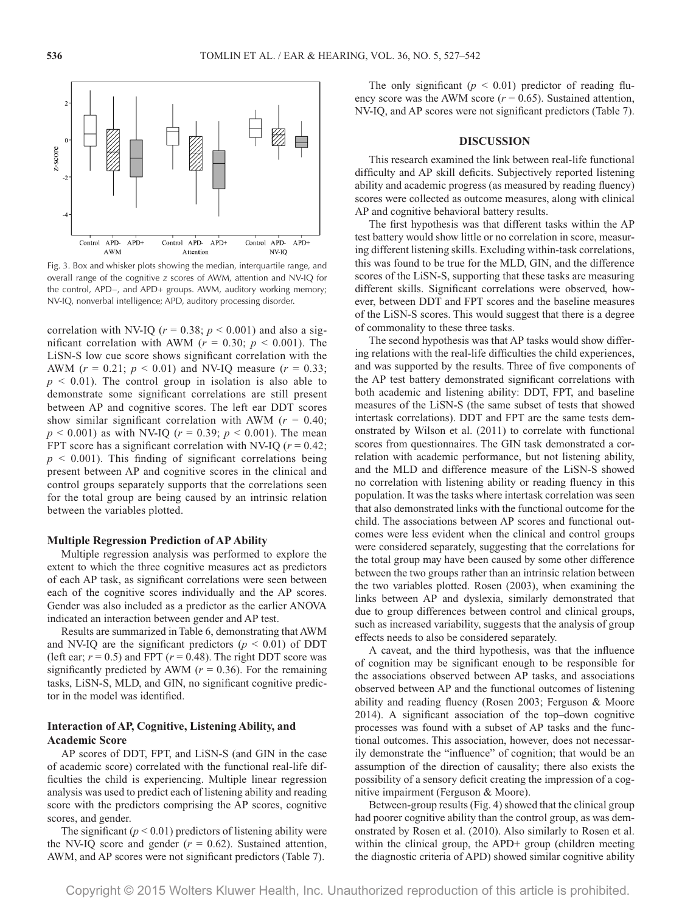

Fig. 3. Box and whisker plots showing the median, interquartile range, and overall range of the cognitive *z* scores of AWM, attention and NV-IQ for the control, APD−, and APD+ groups. AWM, auditory working memory; NV-IQ, nonverbal intelligence; APD, auditory processing disorder.

correlation with NV-IQ ( $r = 0.38$ ;  $p < 0.001$ ) and also a significant correlation with AWM ( $r = 0.30$ ;  $p < 0.001$ ). The LiSN-S low cue score shows significant correlation with the AWM ( $r = 0.21$ ;  $p < 0.01$ ) and NV-IQ measure ( $r = 0.33$ ;  $p \leq 0.01$ ). The control group in isolation is also able to demonstrate some significant correlations are still present between AP and cognitive scores. The left ear DDT scores show similar significant correlation with AWM (*r* = 0.40;  $p < 0.001$ ) as with NV-IQ ( $r = 0.39$ ;  $p < 0.001$ ). The mean FPT score has a significant correlation with NV-IQ  $(r = 0.42;$  $p \leq 0.001$ ). This finding of significant correlations being present between AP and cognitive scores in the clinical and control groups separately supports that the correlations seen for the total group are being caused by an intrinsic relation between the variables plotted.

#### **Multiple Regression Prediction of AP Ability**

Multiple regression analysis was performed to explore the extent to which the three cognitive measures act as predictors of each AP task, as significant correlations were seen between each of the cognitive scores individually and the AP scores. Gender was also included as a predictor as the earlier ANOVA indicated an interaction between gender and AP test.

Results are summarized in Table 6, demonstrating that AWM and NV-IQ are the significant predictors ( $p < 0.01$ ) of DDT (left ear;  $r = 0.5$ ) and FPT ( $r = 0.48$ ). The right DDT score was significantly predicted by AWM ( $r = 0.36$ ). For the remaining tasks, LiSN-S, MLD, and GIN, no significant cognitive predictor in the model was identified.

## **Interaction of AP, Cognitive, Listening Ability, and Academic Score**

AP scores of DDT, FPT, and LiSN-S (and GIN in the case of academic score) correlated with the functional real-life difficulties the child is experiencing. Multiple linear regression analysis was used to predict each of listening ability and reading score with the predictors comprising the AP scores, cognitive scores, and gender.

The significant  $(p < 0.01)$  predictors of listening ability were the NV-IQ score and gender  $(r = 0.62)$ . Sustained attention, AWM, and AP scores were not significant predictors (Table 7).

The only significant  $(p < 0.01)$  predictor of reading fluency score was the AWM score  $(r = 0.65)$ . Sustained attention, NV-IQ, and AP scores were not significant predictors (Table 7).

# **DISCUSSION**

This research examined the link between real-life functional difficulty and AP skill deficits. Subjectively reported listening ability and academic progress (as measured by reading fluency) scores were collected as outcome measures, along with clinical AP and cognitive behavioral battery results.

The first hypothesis was that different tasks within the AP test battery would show little or no correlation in score, measuring different listening skills. Excluding within-task correlations, this was found to be true for the MLD, GIN, and the difference scores of the LiSN-S, supporting that these tasks are measuring different skills. Significant correlations were observed, however, between DDT and FPT scores and the baseline measures of the LiSN-S scores. This would suggest that there is a degree of commonality to these three tasks.

The second hypothesis was that AP tasks would show differing relations with the real-life difficulties the child experiences, and was supported by the results. Three of five components of the AP test battery demonstrated significant correlations with both academic and listening ability: DDT, FPT, and baseline measures of the LiSN-S (the same subset of tests that showed intertask correlations). DDT and FPT are the same tests demonstrated by Wilson et al. (2011) to correlate with functional scores from questionnaires. The GIN task demonstrated a correlation with academic performance, but not listening ability, and the MLD and difference measure of the LiSN-S showed no correlation with listening ability or reading fluency in this population. It was the tasks where intertask correlation was seen that also demonstrated links with the functional outcome for the child. The associations between AP scores and functional outcomes were less evident when the clinical and control groups were considered separately, suggesting that the correlations for the total group may have been caused by some other difference between the two groups rather than an intrinsic relation between the two variables plotted. Rosen (2003), when examining the links between AP and dyslexia, similarly demonstrated that due to group differences between control and clinical groups, such as increased variability, suggests that the analysis of group effects needs to also be considered separately.

A caveat, and the third hypothesis, was that the influence of cognition may be significant enough to be responsible for the associations observed between AP tasks, and associations observed between AP and the functional outcomes of listening ability and reading fluency (Rosen 2003; Ferguson & Moore 2014). A significant association of the top–down cognitive processes was found with a subset of AP tasks and the functional outcomes. This association, however, does not necessarily demonstrate the "influence" of cognition; that would be an assumption of the direction of causality; there also exists the possibility of a sensory deficit creating the impression of a cognitive impairment (Ferguson & Moore).

Between-group results (Fig. 4) showed that the clinical group had poorer cognitive ability than the control group, as was demonstrated by Rosen et al. (2010). Also similarly to Rosen et al. within the clinical group, the APD+ group (children meeting the diagnostic criteria of APD) showed similar cognitive ability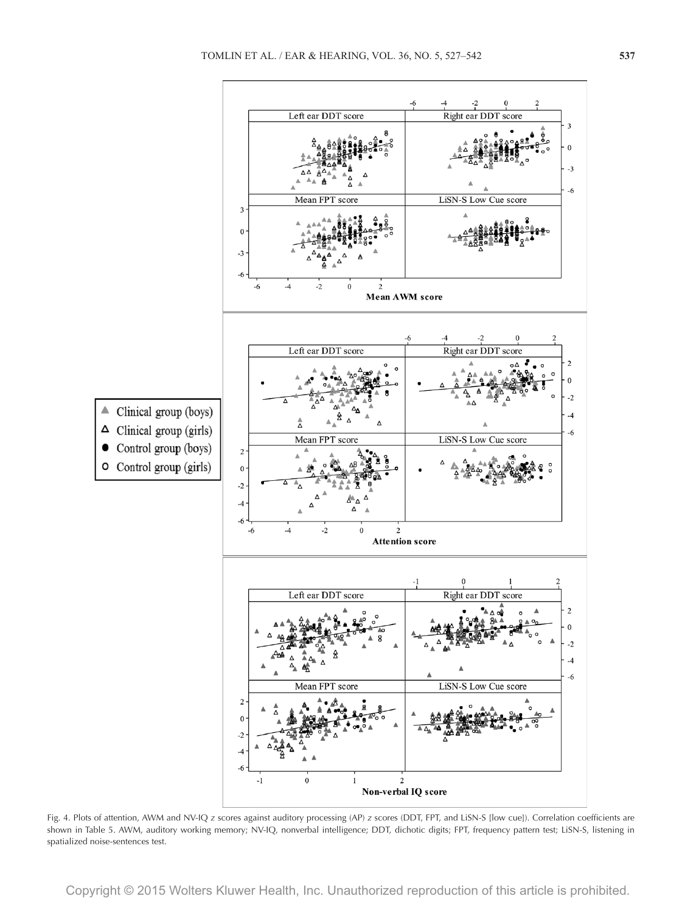

Fig. 4. Plots of attention, AWM and NV-IQ *z* scores against auditory processing (AP) *z* scores (DDT, FPT, and LiSN-S [low cue]). Correlation coefficients are shown in Table 5. AWM, auditory working memory; NV-IQ, nonverbal intelligence; DDT, dichotic digits; FPT, frequency pattern test; LiSN-S, listening in spatialized noise-sentences test.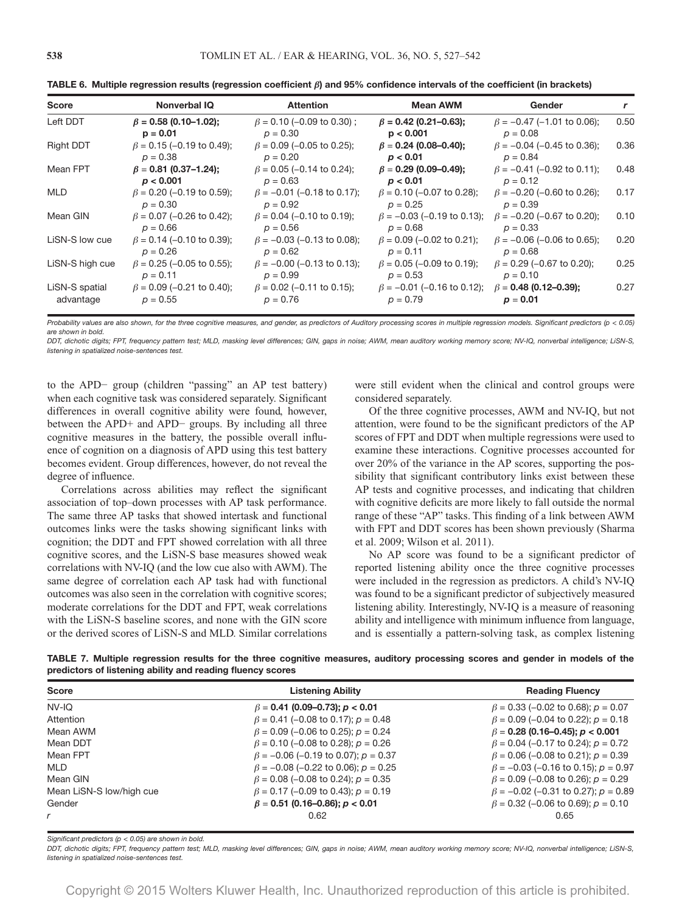| <b>Score</b>                | Nonverbal IQ                                  | <b>Attention</b>                               | <b>Mean AWM</b>                                | Gender                                         | r    |
|-----------------------------|-----------------------------------------------|------------------------------------------------|------------------------------------------------|------------------------------------------------|------|
| Left DDT                    | $\beta$ = 0.58 (0.10–1.02);<br>$p = 0.01$     | $\beta$ = 0.10 (-0.09 to 0.30);<br>$p = 0.30$  | $\beta = 0.42$ (0.21–0.63);<br>p < 0.001       | $\beta = -0.47$ (-1.01 to 0.06);<br>$p = 0.08$ | 0.50 |
| <b>Right DDT</b>            | $\beta$ = 0.15 (-0.19 to 0.49);<br>$p = 0.38$ | $\beta$ = 0.09 (-0.05 to 0.25);<br>$p = 0.20$  | $\beta = 0.24(0.08 - 0.40);$<br>p < 0.01       | $\beta = -0.04$ (-0.45 to 0.36);<br>$p = 0.84$ | 0.36 |
| Mean FPT                    | $\beta = 0.81$ (0.37–1.24);<br>p < 0.001      | $\beta$ = 0.05 (-0.14 to 0.24);<br>$p = 0.63$  | $\beta = 0.29(0.09 - 0.49)$ ;<br>p < 0.01      | $\beta = -0.41$ (-0.92 to 0.11);<br>$p = 0.12$ | 0.48 |
| <b>MLD</b>                  | $\beta$ = 0.20 (-0.19 to 0.59);<br>$p = 0.30$ | $\beta = -0.01$ (-0.18 to 0.17);<br>$p = 0.92$ | $\beta$ = 0.10 (-0.07 to 0.28);<br>$p = 0.25$  | $\beta = -0.20$ (-0.60 to 0.26);<br>$p = 0.39$ | 0.17 |
| Mean GIN                    | $\beta$ = 0.07 (-0.26 to 0.42);<br>$p = 0.66$ | $\beta$ = 0.04 (-0.10 to 0.19);<br>$p = 0.56$  | $\beta = -0.03$ (-0.19 to 0.13);<br>$p = 0.68$ | $\beta = -0.20$ (-0.67 to 0.20);<br>$p = 0.33$ | 0.10 |
| LiSN-S low cue              | $\beta$ = 0.14 (-0.10 to 0.39);<br>$p = 0.26$ | $\beta = -0.03$ (-0.13 to 0.08);<br>$p = 0.62$ | $\beta$ = 0.09 (-0.02 to 0.21);<br>$p = 0.11$  | $\beta = -0.06$ (-0.06 to 0.65);<br>$p = 0.68$ | 0.20 |
| LiSN-S high cue             | $\beta$ = 0.25 (-0.05 to 0.55);<br>$p = 0.11$ | $\beta$ = -0.00 (-0.13 to 0.13);<br>$p = 0.99$ | $\beta$ = 0.05 (-0.09 to 0.19);<br>$p = 0.53$  | $\beta$ = 0.29 (-0.67 to 0.20);<br>$p = 0.10$  | 0.25 |
| LiSN-S spatial<br>advantage | $\beta$ = 0.09 (-0.21 to 0.40);<br>$p = 0.55$ | $\beta$ = 0.02 (-0.11 to 0.15);<br>$p = 0.76$  | $\beta = -0.01$ (-0.16 to 0.12);<br>$p = 0.79$ | $\beta$ = 0.48 (0.12–0.39);<br>$p = 0.01$      | 0.27 |

**TABLE 6. Multiple regression results (regression coefficient** *β***) and 95% confidence intervals of the coefficient (in brackets)**

*Probability values are also shown, for the three cognitive measures, and gender, as predictors of Auditory processing scores in multiple regression models. Significant predictors (p < 0.05) are shown in bold.*

*DDT, dichotic digits; FPT, frequency pattern test; MLD, masking level differences; GIN, gaps in noise; AWM, mean auditory working memory score; NV-IQ, nonverbal intelligence; LiSN-S, listening in spatialized noise-sentences test.*

to the APD− group (children "passing" an AP test battery) when each cognitive task was considered separately. Significant differences in overall cognitive ability were found, however, between the APD+ and APD− groups. By including all three cognitive measures in the battery, the possible overall influence of cognition on a diagnosis of APD using this test battery becomes evident. Group differences, however, do not reveal the degree of influence.

Correlations across abilities may reflect the significant association of top–down processes with AP task performance. The same three AP tasks that showed intertask and functional outcomes links were the tasks showing significant links with cognition; the DDT and FPT showed correlation with all three cognitive scores, and the LiSN-S base measures showed weak correlations with NV-IQ (and the low cue also with AWM). The same degree of correlation each AP task had with functional outcomes was also seen in the correlation with cognitive scores; moderate correlations for the DDT and FPT, weak correlations with the LiSN-S baseline scores, and none with the GIN score or the derived scores of LiSN-S and MLD. Similar correlations were still evident when the clinical and control groups were considered separately.

Of the three cognitive processes, AWM and NV-IQ, but not attention, were found to be the significant predictors of the AP scores of FPT and DDT when multiple regressions were used to examine these interactions. Cognitive processes accounted for over 20% of the variance in the AP scores, supporting the possibility that significant contributory links exist between these AP tests and cognitive processes, and indicating that children with cognitive deficits are more likely to fall outside the normal range of these "AP" tasks. This finding of a link between AWM with FPT and DDT scores has been shown previously (Sharma et al. 2009; Wilson et al. 2011).

No AP score was found to be a significant predictor of reported listening ability once the three cognitive processes were included in the regression as predictors. A child's NV-IQ was found to be a significant predictor of subjectively measured listening ability. Interestingly, NV-IQ is a measure of reasoning ability and intelligence with minimum influence from language, and is essentially a pattern-solving task, as complex listening

**TABLE 7. Multiple regression results for the three cognitive measures, auditory processing scores and gender in models of the predictors of listening ability and reading fluency scores**

| <b>Score</b>             | <b>Listening Ability</b>                    | <b>Reading Fluency</b>                      |
|--------------------------|---------------------------------------------|---------------------------------------------|
| NV-IQ                    | $\beta$ = 0.41 (0.09–0.73); $p < 0.01$      | $\beta$ = 0.33 (-0.02 to 0.68); $p = 0.07$  |
| Attention                | $\beta = 0.41$ (-0.08 to 0.17); $p = 0.48$  | $\beta$ = 0.09 (-0.04 to 0.22); $p = 0.18$  |
| Mean AWM                 | $\beta$ = 0.09 (-0.06 to 0.25); $p = 0.24$  | $\beta$ = 0.28 (0.16–0.45); $p < 0.001$     |
| Mean DDT                 | $\beta$ = 0.10 (-0.08 to 0.28); $p = 0.26$  | $\beta$ = 0.04 (-0.17 to 0.24); $p = 0.72$  |
| Mean FPT                 | $\beta = -0.06$ (-0.19 to 0.07); $p = 0.37$ | $\beta = 0.06$ (-0.08 to 0.21); $p = 0.39$  |
| <b>MLD</b>               | $\beta = -0.08$ (-0.22 to 0.06); $p = 0.25$ | $\beta = -0.03$ (-0.16 to 0.15); $p = 0.97$ |
| Mean GIN                 | $\beta$ = 0.08 (-0.08 to 0.24); $p = 0.35$  | $\beta = 0.09$ (-0.08 to 0.26); $p = 0.29$  |
| Mean LiSN-S low/high cue | $\beta$ = 0.17 (-0.09 to 0.43); $p = 0.19$  | $\beta = -0.02$ (-0.31 to 0.27); $p = 0.89$ |
| Gender                   | $\beta = 0.51$ (0.16-0.86); $p < 0.01$      | $\beta = 0.32$ (-0.06 to 0.69); $p = 0.10$  |
| r                        | 0.62                                        | 0.65                                        |

*Significant predictors (p < 0.05) are shown in bold.*

*DDT, dichotic digits; FPT, frequency pattern test; MLD, masking level differences; GIN, gaps in noise; AWM, mean auditory working memory score; NV-IQ, nonverbal intelligence; LiSN-S, listening in spatialized noise-sentences test.*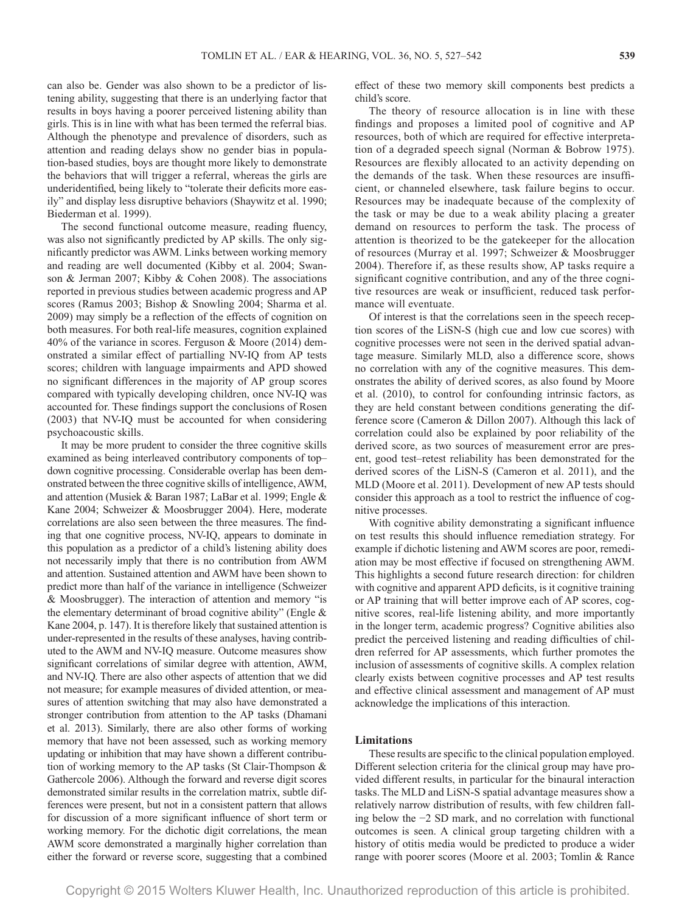can also be. Gender was also shown to be a predictor of listening ability, suggesting that there is an underlying factor that results in boys having a poorer perceived listening ability than girls. This is in line with what has been termed the referral bias. Although the phenotype and prevalence of disorders, such as attention and reading delays show no gender bias in population-based studies, boys are thought more likely to demonstrate the behaviors that will trigger a referral, whereas the girls are underidentified, being likely to "tolerate their deficits more easily" and display less disruptive behaviors (Shaywitz et al. 1990; Biederman et al. 1999).

The second functional outcome measure, reading fluency, was also not significantly predicted by AP skills. The only significantly predictor was AWM. Links between working memory and reading are well documented (Kibby et al. 2004; Swanson & Jerman 2007; Kibby & Cohen 2008). The associations reported in previous studies between academic progress and AP scores (Ramus 2003; Bishop & Snowling 2004; Sharma et al. 2009) may simply be a reflection of the effects of cognition on both measures. For both real-life measures, cognition explained 40% of the variance in scores. Ferguson & Moore (2014) demonstrated a similar effect of partialling NV-IQ from AP tests scores; children with language impairments and APD showed no significant differences in the majority of AP group scores compared with typically developing children, once NV-IQ was accounted for. These findings support the conclusions of Rosen (2003) that NV-IQ must be accounted for when considering psychoacoustic skills.

It may be more prudent to consider the three cognitive skills examined as being interleaved contributory components of top– down cognitive processing. Considerable overlap has been demonstrated between the three cognitive skills of intelligence, AWM, and attention (Musiek & Baran 1987; LaBar et al. 1999; Engle & Kane 2004; Schweizer & Moosbrugger 2004). Here, moderate correlations are also seen between the three measures. The finding that one cognitive process, NV-IQ, appears to dominate in this population as a predictor of a child's listening ability does not necessarily imply that there is no contribution from AWM and attention. Sustained attention and AWM have been shown to predict more than half of the variance in intelligence (Schweizer & Moosbrugger). The interaction of attention and memory "is the elementary determinant of broad cognitive ability" (Engle & Kane 2004, p. 147). It is therefore likely that sustained attention is under-represented in the results of these analyses, having contributed to the AWM and NV-IQ measure. Outcome measures show significant correlations of similar degree with attention, AWM, and NV-IQ. There are also other aspects of attention that we did not measure; for example measures of divided attention, or measures of attention switching that may also have demonstrated a stronger contribution from attention to the AP tasks (Dhamani et al. 2013). Similarly, there are also other forms of working memory that have not been assessed, such as working memory updating or inhibition that may have shown a different contribution of working memory to the AP tasks (St Clair-Thompson & Gathercole 2006). Although the forward and reverse digit scores demonstrated similar results in the correlation matrix, subtle differences were present, but not in a consistent pattern that allows for discussion of a more significant influence of short term or working memory. For the dichotic digit correlations, the mean AWM score demonstrated a marginally higher correlation than either the forward or reverse score, suggesting that a combined

effect of these two memory skill components best predicts a child's score.

The theory of resource allocation is in line with these findings and proposes a limited pool of cognitive and AP resources, both of which are required for effective interpretation of a degraded speech signal (Norman & Bobrow 1975). Resources are flexibly allocated to an activity depending on the demands of the task. When these resources are insufficient, or channeled elsewhere, task failure begins to occur. Resources may be inadequate because of the complexity of the task or may be due to a weak ability placing a greater demand on resources to perform the task. The process of attention is theorized to be the gatekeeper for the allocation of resources (Murray et al. 1997; Schweizer & Moosbrugger 2004). Therefore if, as these results show, AP tasks require a significant cognitive contribution, and any of the three cognitive resources are weak or insufficient, reduced task performance will eventuate.

Of interest is that the correlations seen in the speech reception scores of the LiSN-S (high cue and low cue scores) with cognitive processes were not seen in the derived spatial advantage measure. Similarly MLD, also a difference score, shows no correlation with any of the cognitive measures. This demonstrates the ability of derived scores, as also found by Moore et al. (2010), to control for confounding intrinsic factors, as they are held constant between conditions generating the difference score (Cameron & Dillon 2007). Although this lack of correlation could also be explained by poor reliability of the derived score, as two sources of measurement error are present, good test–retest reliability has been demonstrated for the derived scores of the LiSN-S (Cameron et al. 2011), and the MLD (Moore et al. 2011). Development of new AP tests should consider this approach as a tool to restrict the influence of cognitive processes.

With cognitive ability demonstrating a significant influence on test results this should influence remediation strategy. For example if dichotic listening and AWM scores are poor, remediation may be most effective if focused on strengthening AWM. This highlights a second future research direction: for children with cognitive and apparent APD deficits, is it cognitive training or AP training that will better improve each of AP scores, cognitive scores, real-life listening ability, and more importantly in the longer term, academic progress? Cognitive abilities also predict the perceived listening and reading difficulties of children referred for AP assessments, which further promotes the inclusion of assessments of cognitive skills. A complex relation clearly exists between cognitive processes and AP test results and effective clinical assessment and management of AP must acknowledge the implications of this interaction.

# **Limitations**

These results are specific to the clinical population employed. Different selection criteria for the clinical group may have provided different results, in particular for the binaural interaction tasks. The MLD and LiSN-S spatial advantage measures show a relatively narrow distribution of results, with few children falling below the −2 SD mark, and no correlation with functional outcomes is seen. A clinical group targeting children with a history of otitis media would be predicted to produce a wider range with poorer scores (Moore et al. 2003; Tomlin & Rance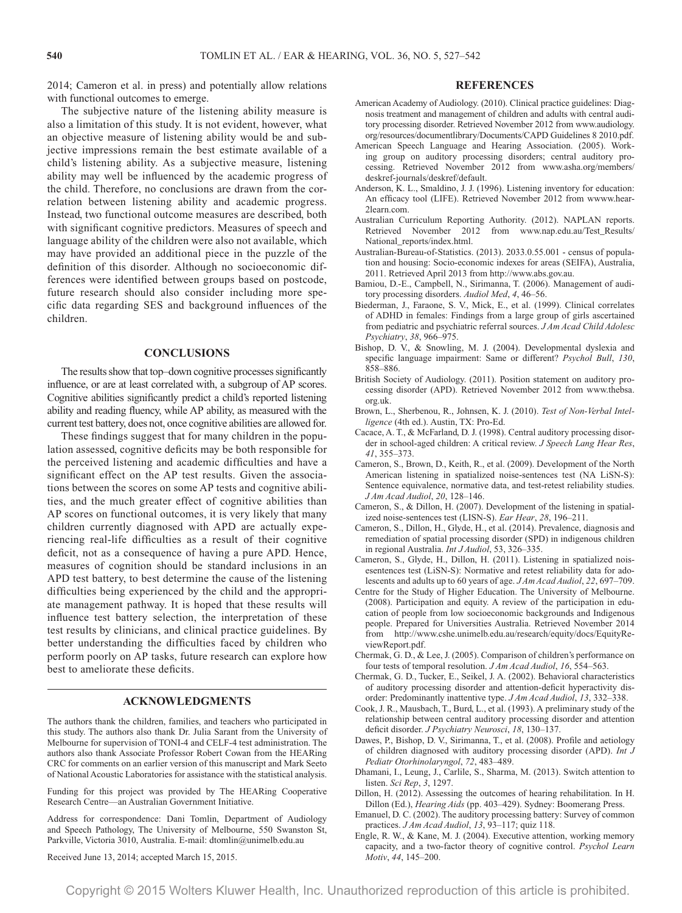2014; Cameron et al. in press) and potentially allow relations with functional outcomes to emerge.

The subjective nature of the listening ability measure is also a limitation of this study. It is not evident, however, what an objective measure of listening ability would be and subjective impressions remain the best estimate available of a child's listening ability. As a subjective measure, listening ability may well be influenced by the academic progress of the child. Therefore, no conclusions are drawn from the correlation between listening ability and academic progress. Instead, two functional outcome measures are described, both with significant cognitive predictors. Measures of speech and language ability of the children were also not available, which may have provided an additional piece in the puzzle of the definition of this disorder. Although no socioeconomic differences were identified between groups based on postcode, future research should also consider including more specific data regarding SES and background influences of the children.

#### **CONCLUSIONS**

The results show that top–down cognitive processes significantly influence, or are at least correlated with, a subgroup of AP scores. Cognitive abilities significantly predict a child's reported listening ability and reading fluency, while AP ability, as measured with the current test battery, does not, once cognitive abilities are allowed for.

These findings suggest that for many children in the population assessed, cognitive deficits may be both responsible for the perceived listening and academic difficulties and have a significant effect on the AP test results. Given the associations between the scores on some AP tests and cognitive abilities, and the much greater effect of cognitive abilities than AP scores on functional outcomes, it is very likely that many children currently diagnosed with APD are actually experiencing real-life difficulties as a result of their cognitive deficit, not as a consequence of having a pure APD. Hence, measures of cognition should be standard inclusions in an APD test battery, to best determine the cause of the listening difficulties being experienced by the child and the appropriate management pathway. It is hoped that these results will influence test battery selection, the interpretation of these test results by clinicians, and clinical practice guidelines. By better understanding the difficulties faced by children who perform poorly on AP tasks, future research can explore how best to ameliorate these deficits.

#### **ACKNOWLEDGMENTS**

The authors thank the children, families, and teachers who participated in this study. The authors also thank Dr. Julia Sarant from the University of Melbourne for supervision of TONI-4 and CELF-4 test administration. The authors also thank Associate Professor Robert Cowan from the HEARing CRC for comments on an earlier version of this manuscript and Mark Seeto of National Acoustic Laboratories for assistance with the statistical analysis.

Funding for this project was provided by The HEARing Cooperative Research Centre—an Australian Government Initiative.

Address for correspondence: Dani Tomlin, Department of Audiology and Speech Pathology, The University of Melbourne, 550 Swanston St, Parkville, Victoria 3010, Australia. E-mail: [dtomlin@unimelb.edu.au](mailto:dtomlin@unimelb.edu.au)

Received June 13, 2014; accepted March 15, 2015.

#### **REFERENCES**

- American Academy of Audiology. (2010). Clinical practice guidelines: Diagnosis treatment and management of children and adults with central auditory processing disorder. Retrieved November 2012 from [www.audiology.](http://www.audiology.org/resources/documentlibrary/Documents/CAPDGuidelines82010.pdf) [org/resources/documentlibrary/Documents/CAPD Guidelines 8 2010.pdf.](http://www.audiology.org/resources/documentlibrary/Documents/CAPDGuidelines82010.pdf)
- American Speech Language and Hearing Association. (2005). Working group on auditory processing disorders; central auditory processing. Retrieved November 2012 from [www.asha.org/members/](http://www.asha.org/members/deskref-journals/deskref/default) [deskref-journals/deskref/default.](http://www.asha.org/members/deskref-journals/deskref/default)
- Anderson, K. L., Smaldino, J. J. (1996). Listening inventory for education: An efficacy tool (LIFE). Retrieved November 2012 from [wwww.hear](http://wwww.hear2learn.com)-[2learn.com](http://wwww.hear2learn.com).
- Australian Curriculum Reporting Authority. (2012). NAPLAN reports. Retrieved November 2012 from www.nap.edu.au/Test Results/ [National\\_reports/index.html.](http://www.nap.edu.au/Test_Results/National_reports/index.html)
- Australian-Bureau-of-Statistics. (2013). 2033.0.55.001 census of population and housing: Socio-economic indexes for areas (SEIFA), Australia, 2011. Retrieved April 2013 from [http://www.abs.gov.au.](http://www.abs.gov.au)
- Bamiou, D.-E., Campbell, N., Sirimanna, T. (2006). Management of auditory processing disorders. *Audiol Med*, *4*, 46–56.
- Biederman, J., Faraone, S. V., Mick, E., et al. (1999). Clinical correlates of ADHD in females: Findings from a large group of girls ascertained from pediatric and psychiatric referral sources. *J Am Acad Child Adolesc Psychiatry*, *38*, 966–975.
- Bishop, D. V., & Snowling, M. J. (2004). Developmental dyslexia and specific language impairment: Same or different? *Psychol Bull*, *130*, 858–886.
- British Society of Audiology. (2011). Position statement on auditory processing disorder (APD). Retrieved November 2012 from [www.thebsa.](http://www.thebsa.org.uk) [org.uk](http://www.thebsa.org.uk).
- Brown, L., Sherbenou, R., Johnsen, K. J. (2010). *Test of Non-Verbal Intelligence* (4th ed.). Austin, TX: Pro-Ed.
- Cacace, A. T., & McFarland, D. J. (1998). Central auditory processing disorder in school-aged children: A critical review. *J Speech Lang Hear Res*, *41*, 355–373.
- Cameron, S., Brown, D., Keith, R., et al. (2009). Development of the North American listening in spatialized noise-sentences test (NA LiSN-S): Sentence equivalence, normative data, and test-retest reliability studies. *J Am Acad Audiol*, *20*, 128–146.
- Cameron, S., & Dillon, H. (2007). Development of the listening in spatialized noise-sentences test (LISN-S). *Ear Hear*, *28*, 196–211.
- Cameron, S., Dillon, H., Glyde, H., et al. (2014). Prevalence, diagnosis and remediation of spatial processing disorder (SPD) in indigenous children in regional Australia. *Int J Audiol*, 53, 326–335.
- Cameron, S., Glyde, H., Dillon, H. (2011). Listening in spatialized noisesentences test (LiSN-S): Normative and retest reliability data for adolescents and adults up to 60 years of age. *J Am Acad Audiol*, *22*, 697–709.
- Centre for the Study of Higher Education. The University of Melbourne. (2008). Participation and equity. A review of the participation in education of people from low socioeconomic backgrounds and Indigenous people. Prepared for Universities Australia. Retrieved November 2014 from [http://www.cshe.unimelb.edu.au/research/equity/docs/EquityRe](http://www.cshe.unimelb.edu.au/research/equity/docs/EquityReviewReport.pdf)[viewReport.pdf](http://www.cshe.unimelb.edu.au/research/equity/docs/EquityReviewReport.pdf).
- Chermak, G. D., & Lee, J. (2005). Comparison of children's performance on four tests of temporal resolution. *J Am Acad Audiol*, *16*, 554–563.
- Chermak, G. D., Tucker, E., Seikel, J. A. (2002). Behavioral characteristics of auditory processing disorder and attention-deficit hyperactivity disorder: Predominantly inattentive type. *J Am Acad Audiol*, *13*, 332–338.
- Cook, J. R., Mausbach, T., Burd, L., et al. (1993). A preliminary study of the relationship between central auditory processing disorder and attention deficit disorder. *J Psychiatry Neurosci*, *18*, 130–137.
- Dawes, P., Bishop, D. V., Sirimanna, T., et al. (2008). Profile and aetiology of children diagnosed with auditory processing disorder (APD). *Int J Pediatr Otorhinolaryngol*, *72*, 483–489.
- Dhamani, I., Leung, J., Carlile, S., Sharma, M. (2013). Switch attention to listen. *Sci Rep*, *3*, 1297.
- Dillon, H. (2012). Assessing the outcomes of hearing rehabilitation. In H. Dillon (Ed.), *Hearing Aids* (pp. 403–429). Sydney: Boomerang Press.
- Emanuel, D. C. (2002). The auditory processing battery: Survey of common practices. *J Am Acad Audiol*, *13*, 93–117; quiz 118.
- Engle, R. W., & Kane, M. J. (2004). Executive attention, working memory capacity, and a two-factor theory of cognitive control. *Psychol Learn Motiv*, *44*, 145–200.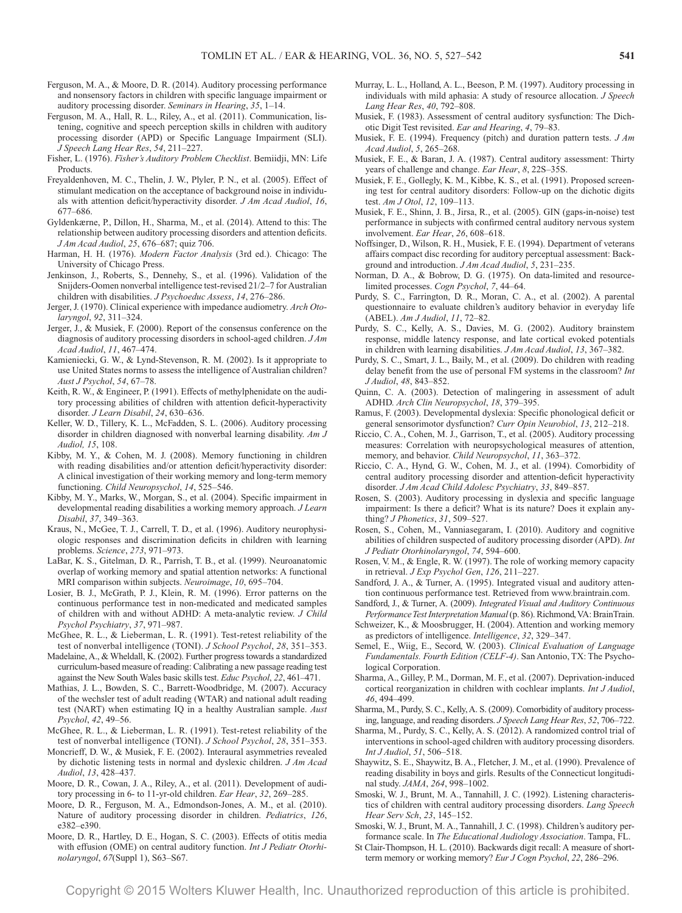- Ferguson, M. A., & Moore, D. R. (2014). Auditory processing performance and nonsensory factors in children with specific language impairment or auditory processing disorder. *Seminars in Hearing*, *35*, 1–14.
- Ferguson, M. A., Hall, R. L., Riley, A., et al. (2011). Communication, listening, cognitive and speech perception skills in children with auditory processing disorder (APD) or Specific Language Impairment (SLI). *J Speech Lang Hear Res*, *54*, 211–227.
- Fisher, L. (1976). *Fisher's Auditory Problem Checklist*. Bemiidji, MN: Life Products.
- Freyaldenhoven, M. C., Thelin, J. W., Plyler, P. N., et al. (2005). Effect of stimulant medication on the acceptance of background noise in individuals with attention deficit/hyperactivity disorder. *J Am Acad Audiol*, *16*, 677–686.
- Gyldenkærne, P., Dillon, H., Sharma, M., et al. (2014). Attend to this: The relationship between auditory processing disorders and attention deficits. *J Am Acad Audiol*, *25*, 676–687; quiz 706.
- Harman, H. H. (1976). *Modern Factor Analysis* (3rd ed.). Chicago: The University of Chicago Press.
- Jenkinson, J., Roberts, S., Dennehy, S., et al. (1996). Validation of the Snijders-Oomen nonverbal intelligence test-revised 21/2–7 for Australian children with disabilities. *J Psychoeduc Assess*, *14*, 276–286.
- Jerger, J. (1970). Clinical experience with impedance audiometry. *Arch Otolaryngol*, *92*, 311–324.
- Jerger, J., & Musiek, F. (2000). Report of the consensus conference on the diagnosis of auditory processing disorders in school-aged children. *J Am Acad Audiol*, *11*, 467–474.
- Kamieniecki, G. W., & Lynd-Stevenson, R. M. (2002). Is it appropriate to use United States norms to assess the intelligence of Australian children? *Aust J Psychol*, *54*, 67–78.
- Keith, R. W., & Engineer, P. (1991). Effects of methylphenidate on the auditory processing abilities of children with attention deficit-hyperactivity disorder. *J Learn Disabil*, *24*, 630–636.
- Keller, W. D., Tillery, K. L., McFadden, S. L. (2006). Auditory processing disorder in children diagnosed with nonverbal learning disability. *Am J Audiol, 15*, 108.
- Kibby, M. Y., & Cohen, M. J. (2008). Memory functioning in children with reading disabilities and/or attention deficit/hyperactivity disorder: A clinical investigation of their working memory and long-term memory functioning. *Child Neuropsychol*, *14*, 525–546.
- Kibby, M. Y., Marks, W., Morgan, S., et al. (2004). Specific impairment in developmental reading disabilities a working memory approach. *J Learn Disabil*, *37*, 349–363.
- Kraus, N., McGee, T. J., Carrell, T. D., et al. (1996). Auditory neurophysiologic responses and discrimination deficits in children with learning problems. *Science*, *273*, 971–973.
- LaBar, K. S., Gitelman, D. R., Parrish, T. B., et al. (1999). Neuroanatomic overlap of working memory and spatial attention networks: A functional MRI comparison within subjects. *Neuroimage*, *10*, 695–704.
- Losier, B. J., McGrath, P. J., Klein, R. M. (1996). Error patterns on the continuous performance test in non-medicated and medicated samples of children with and without ADHD: A meta-analytic review. *J Child Psychol Psychiatry*, *37*, 971–987.
- McGhee, R. L., & Lieberman, L. R. (1991). Test-retest reliability of the test of nonverbal intelligence (TONI). *J School Psychol*, *28*, 351–353.
- Madelaine, A., & Wheldall, K. (2002). Further progress towards a standardized curriculum-based measure of reading: Calibrating a new passage reading test against the New South Wales basic skills test. *Educ Psychol*, *22*, 461–471.
- Mathias, J. L., Bowden, S. C., Barrett-Woodbridge, M. (2007). Accuracy of the wechsler test of adult reading (WTAR) and national adult reading test (NART) when estimating IQ in a healthy Australian sample. *Aust Psychol*, *42*, 49–56.
- McGhee, R. L., & Lieberman, L. R. (1991). Test-retest reliability of the test of nonverbal intelligence (TONI). *J School Psychol*, *28*, 351–353.
- Moncrieff, D. W., & Musiek, F. E. (2002). Interaural asymmetries revealed by dichotic listening tests in normal and dyslexic children. *J Am Acad Audiol*, *13*, 428–437.
- Moore, D. R., Cowan, J. A., Riley, A., et al. (2011). Development of auditory processing in 6- to 11-yr-old children. *Ear Hear*, *32*, 269–285.
- Moore, D. R., Ferguson, M. A., Edmondson-Jones, A. M., et al. (2010). Nature of auditory processing disorder in children. *Pediatrics*, *126*, e382–e390.
- Moore, D. R., Hartley, D. E., Hogan, S. C. (2003). Effects of otitis media with effusion (OME) on central auditory function. *Int J Pediatr Otorhinolaryngol*, *67*(Suppl 1), S63–S67.
- Murray, L. L., Holland, A. L., Beeson, P. M. (1997). Auditory processing in individuals with mild aphasia: A study of resource allocation. *J Speech Lang Hear Res*, *40*, 792–808.
- Musiek, F. (1983). Assessment of central auditory sysfunction: The Dichotic Digit Test revisited. *Ear and Hearing*, *4*, 79–83.
- Musiek, F. E. (1994). Frequency (pitch) and duration pattern tests. *J Am Acad Audiol*, *5*, 265–268.
- Musiek, F. E., & Baran, J. A. (1987). Central auditory assessment: Thirty years of challenge and change. *Ear Hear*, *8*, 22S–35S.
- Musiek, F. E., Gollegly, K. M., Kibbe, K. S., et al. (1991). Proposed screening test for central auditory disorders: Follow-up on the dichotic digits test. *Am J Otol*, *12*, 109–113.
- Musiek, F. E., Shinn, J. B., Jirsa, R., et al. (2005). GIN (gaps-in-noise) test performance in subjects with confirmed central auditory nervous system involvement. *Ear Hear*, *26*, 608–618.
- Noffsinger, D., Wilson, R. H., Musiek, F. E. (1994). Department of veterans affairs compact disc recording for auditory perceptual assessment: Background and introduction. *J Am Acad Audiol*, *5*, 231–235.
- Norman, D. A., & Bobrow, D. G. (1975). On data-limited and resourcelimited processes. *Cogn Psychol*, *7*, 44–64.
- Purdy, S. C., Farrington, D. R., Moran, C. A., et al. (2002). A parental questionnaire to evaluate children's auditory behavior in everyday life (ABEL). *Am J Audiol*, *11*, 72–82.
- Purdy, S. C., Kelly, A. S., Davies, M. G. (2002). Auditory brainstem response, middle latency response, and late cortical evoked potentials in children with learning disabilities. *J Am Acad Audiol*, *13*, 367–382.
- Purdy, S. C., Smart, J. L., Baily, M., et al. (2009). Do children with reading delay benefit from the use of personal FM systems in the classroom? *Int J Audiol*, *48*, 843–852.
- Quinn, C. A. (2003). Detection of malingering in assessment of adult ADHD. *Arch Clin Neuropsychol*, *18*, 379–395.
- Ramus, F. (2003). Developmental dyslexia: Specific phonological deficit or general sensorimotor dysfunction? *Curr Opin Neurobiol*, *13*, 212–218.
- Riccio, C. A., Cohen, M. J., Garrison, T., et al. (2005). Auditory processing measures: Correlation with neuropsychological measures of attention, memory, and behavior. *Child Neuropsychol*, *11*, 363–372.
- Riccio, C. A., Hynd, G. W., Cohen, M. J., et al. (1994). Comorbidity of central auditory processing disorder and attention-deficit hyperactivity disorder. *J Am Acad Child Adolesc Psychiatry*, *33*, 849–857.
- Rosen, S. (2003). Auditory processing in dyslexia and specific language impairment: Is there a deficit? What is its nature? Does it explain anything? *J Phonetics*, *31*, 509–527.
- Rosen, S., Cohen, M., Vanniasegaram, I. (2010). Auditory and cognitive abilities of children suspected of auditory processing disorder (APD). *Int J Pediatr Otorhinolaryngol*, *74*, 594–600.
- Rosen, V. M., & Engle, R. W. (1997). The role of working memory capacity in retrieval. *J Exp Psychol Gen*, *126*, 211–227.
- Sandford, J. A., & Turner, A. (1995). Integrated visual and auditory attention continuous performance test. Retrieved from [www.braintrain.com.](http://www.braintrain.com)
- Sandford, J., & Turner, A. (2009). *Integrated Visual and Auditory Continuous Performance Test Interpretation Manual* (p. 86). Richmond, VA: BrainTrain.
- Schweizer, K., & Moosbrugger, H. (2004). Attention and working memory as predictors of intelligence. *Intelligence*, *32*, 329–347.
- Semel, E., Wiig, E., Secord, W. (2003). *Clinical Evaluation of Language Fundamentals. Fourth Edition (CELF-4)*. San Antonio, TX: The Psychological Corporation.
- Sharma, A., Gilley, P. M., Dorman, M. F., et al. (2007). Deprivation-induced cortical reorganization in children with cochlear implants. *Int J Audiol*, *46*, 494–499.
- Sharma, M., Purdy, S. C., Kelly, A. S. (2009). Comorbidity of auditory processing, language, and reading disorders. *J Speech Lang Hear Res*, *52*, 706–722.
- Sharma, M., Purdy, S. C., Kelly, A. S. (2012). A randomized control trial of interventions in school-aged children with auditory processing disorders. *Int J Audiol*, *51*, 506–518.
- Shaywitz, S. E., Shaywitz, B. A., Fletcher, J. M., et al. (1990). Prevalence of reading disability in boys and girls. Results of the Connecticut longitudinal study. *JAMA*, *264*, 998–1002.
- Smoski, W. J., Brunt, M. A., Tannahill, J. C. (1992). Listening characteristics of children with central auditory processing disorders. *Lang Speech Hear Serv Sch*, *23*, 145–152.
- Smoski, W. J., Brunt, M. A., Tannahill, J. C. (1998). Children's auditory performance scale. In *The Educational Audiology Association*. Tampa, FL.
- St Clair-Thompson, H. L. (2010). Backwards digit recall: A measure of shortterm memory or working memory? *Eur J Cogn Psychol*, *22*, 286–296.